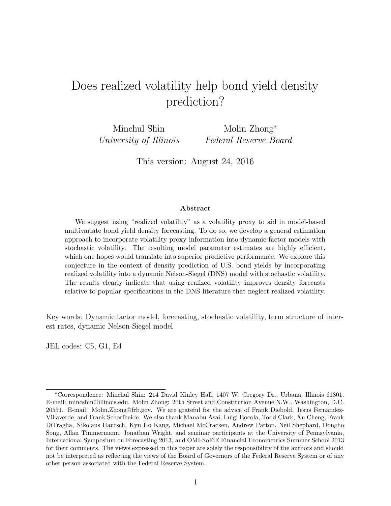# Does realized volatility help bond yield density prediction?

Minchul Shin University of Illinois

Molin Zhong<sup>∗</sup> Federal Reserve Board

This version: August 24, 2016

#### Abstract

We suggest using "realized volatility" as a volatility proxy to aid in model-based multivariate bond yield density forecasting. To do so, we develop a general estimation approach to incorporate volatility proxy information into dynamic factor models with stochastic volatility. The resulting model parameter estimates are highly efficient, which one hopes would translate into superior predictive performance. We explore this conjecture in the context of density prediction of U.S. bond yields by incorporating realized volatility into a dynamic Nelson-Siegel (DNS) model with stochastic volatility. The results clearly indicate that using realized volatility improves density forecasts relative to popular specifications in the DNS literature that neglect realized volatility.

Key words: Dynamic factor model, forecasting, stochastic volatility, term structure of interest rates, dynamic Nelson-Siegel model

JEL codes: C5, G1, E4

<sup>∗</sup>Correspondence: Minchul Shin: 214 David Kinley Hall, 1407 W. Gregory Dr., Urbana, Illinois 61801. E-mail: mincshin@illinois.edu. Molin Zhong: 20th Street and Constitution Avenue N.W., Washington, D.C. 20551. E-mail: Molin.Zhong@frb.gov. We are grateful for the advice of Frank Diebold, Jesus Fernandez-Villaverde, and Frank Schorfheide. We also thank Manabu Asai, Luigi Bocola, Todd Clark, Xu Cheng, Frank DiTraglia, Nikolaus Hautsch, Kyu Ho Kang, Michael McCracken, Andrew Patton, Neil Shephard, Dongho Song, Allan Timmermann, Jonathan Wright, and seminar participants at the University of Pennsylvania, International Symposium on Forecasting 2013, and OMI-SoFiE Financial Econometrics Summer School 2013 for their comments. The views expressed in this paper are solely the responsibility of the authors and should not be interpreted as reflecting the views of the Board of Governors of the Federal Reserve System or of any other person associated with the Federal Reserve System.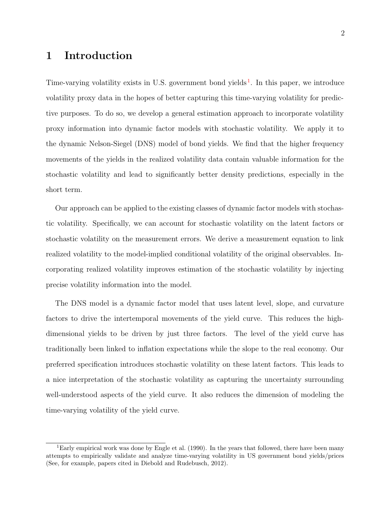# 1 Introduction

Time-varying volatility exists in U.S. government bond yields<sup>1</sup>. In this paper, we introduce volatility proxy data in the hopes of better capturing this time-varying volatility for predictive purposes. To do so, we develop a general estimation approach to incorporate volatility proxy information into dynamic factor models with stochastic volatility. We apply it to the dynamic Nelson-Siegel (DNS) model of bond yields. We find that the higher frequency movements of the yields in the realized volatility data contain valuable information for the stochastic volatility and lead to significantly better density predictions, especially in the short term.

Our approach can be applied to the existing classes of dynamic factor models with stochastic volatility. Specifically, we can account for stochastic volatility on the latent factors or stochastic volatility on the measurement errors. We derive a measurement equation to link realized volatility to the model-implied conditional volatility of the original observables. Incorporating realized volatility improves estimation of the stochastic volatility by injecting precise volatility information into the model.

The DNS model is a dynamic factor model that uses latent level, slope, and curvature factors to drive the intertemporal movements of the yield curve. This reduces the highdimensional yields to be driven by just three factors. The level of the yield curve has traditionally been linked to inflation expectations while the slope to the real economy. Our preferred specification introduces stochastic volatility on these latent factors. This leads to a nice interpretation of the stochastic volatility as capturing the uncertainty surrounding well-understood aspects of the yield curve. It also reduces the dimension of modeling the time-varying volatility of the yield curve.

<sup>&</sup>lt;sup>1</sup>Early empirical work was done by [Engle et al.](#page-35-0) ([1990\)](#page-35-0). In the years that followed, there have been many attempts to empirically validate and analyze time-varying volatility in US government bond yields/prices (See, for example, papers cited in [Diebold and Rudebusch, 2012\)](#page-35-0).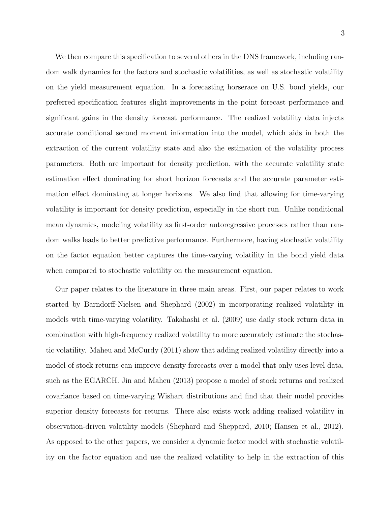We then compare this specification to several others in the DNS framework, including random walk dynamics for the factors and stochastic volatilities, as well as stochastic volatility on the yield measurement equation. In a forecasting horserace on U.S. bond yields, our preferred specification features slight improvements in the point forecast performance and significant gains in the density forecast performance. The realized volatility data injects accurate conditional second moment information into the model, which aids in both the extraction of the current volatility state and also the estimation of the volatility process parameters. Both are important for density prediction, with the accurate volatility state estimation effect dominating for short horizon forecasts and the accurate parameter estimation effect dominating at longer horizons. We also find that allowing for time-varying volatility is important for density prediction, especially in the short run. Unlike conditional mean dynamics, modeling volatility as first-order autoregressive processes rather than random walks leads to better predictive performance. Furthermore, having stochastic volatility on the factor equation better captures the time-varying volatility in the bond yield data when compared to stochastic volatility on the measurement equation.

Our paper relates to the literature in three main areas. First, our paper relates to work started by [Barndorff-Nielsen and Shephard](#page-34-0) ([2002\)](#page-34-0) in incorporating realized volatility in models with time-varying volatility. [Takahashi et al.](#page-36-0) ([2009\)](#page-36-0) use daily stock return data in combination with high-frequency realized volatility to more accurately estimate the stochastic volatility. [Maheu and McCurdy](#page-36-0) ([2011\)](#page-36-0) show that adding realized volatility directly into a model of stock returns can improve density forecasts over a model that only uses level data, such as the EGARCH. [Jin and Maheu](#page-36-0) ([2013\)](#page-36-0) propose a model of stock returns and realized covariance based on time-varying Wishart distributions and find that their model provides superior density forecasts for returns. There also exists work adding realized volatility in observation-driven volatility models ([Shephard and Sheppard,](#page-36-0) [2010;](#page-36-0) [Hansen et al.,](#page-35-0) [2012\)](#page-35-0). As opposed to the other papers, we consider a dynamic factor model with stochastic volatility on the factor equation and use the realized volatility to help in the extraction of this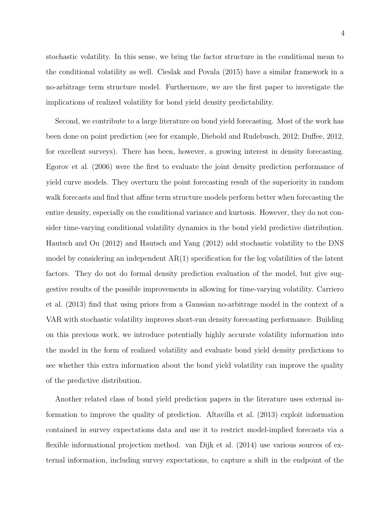stochastic volatility. In this sense, we bring the factor structure in the conditional mean to the conditional volatility as well. [Cieslak and Povala](#page-34-0) ([2015\)](#page-34-0) have a similar framework in a no-arbitrage term structure model. Furthermore, we are the first paper to investigate the implications of realized volatility for bond yield density predictability.

Second, we contribute to a large literature on bond yield forecasting. Most of the work has been done on point prediction (see for example, [Diebold and Rudebusch,](#page-35-0) [2012;](#page-35-0) [Duffee,](#page-35-0) [2012,](#page-35-0) for excellent surveys). There has been, however, a growing interest in density forecasting. [Egorov et al.](#page-35-0) ([2006\)](#page-35-0) were the first to evaluate the joint density prediction performance of yield curve models. They overturn the point forecasting result of the superiority in random walk forecasts and find that affine term structure models perform better when forecasting the entire density, especially on the conditional variance and kurtosis. However, they do not consider time-varying conditional volatility dynamics in the bond yield predictive distribution. [Hautsch and Ou](#page-36-0) ([2012\)](#page-36-0) and [Hautsch and Yang](#page-36-0) ([2012\)](#page-36-0) add stochastic volatility to the DNS model by considering an independent  $AR(1)$  specification for the log volatilities of the latent factors. They do not do formal density prediction evaluation of the model, but give suggestive results of the possible improvements in allowing for time-varying volatility. [Carriero](#page-34-0) [et al.](#page-34-0) [\(2013\)](#page-34-0) find that using priors from a Gaussian no-arbitrage model in the context of a VAR with stochastic volatility improves short-run density forecasting performance. Building on this previous work, we introduce potentially highly accurate volatility information into the model in the form of realized volatility and evaluate bond yield density predictions to see whether this extra information about the bond yield volatility can improve the quality of the predictive distribution.

Another related class of bond yield prediction papers in the literature uses external information to improve the quality of prediction. [Altavilla et al.](#page-34-0) ([2013\)](#page-34-0) exploit information contained in survey expectations data and use it to restrict model-implied forecasts via a flexible informational projection method. [van Dijk et al.](#page-37-0) ([2014\)](#page-37-0) use various sources of external information, including survey expectations, to capture a shift in the endpoint of the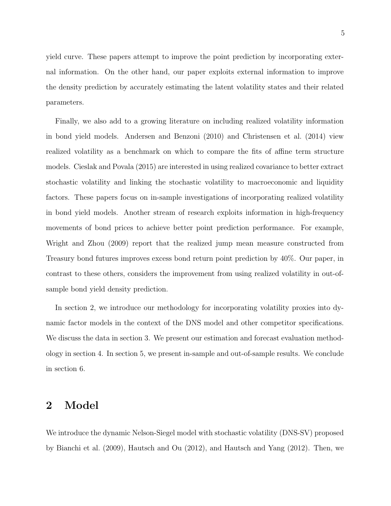5

yield curve. These papers attempt to improve the point prediction by incorporating external information. On the other hand, our paper exploits external information to improve the density prediction by accurately estimating the latent volatility states and their related parameters.

Finally, we also add to a growing literature on including realized volatility information in bond yield models. [Andersen and Benzoni](#page-34-0) ([2010\)](#page-34-0) and [Christensen et al.](#page-34-0) ([2014\)](#page-34-0) view realized volatility as a benchmark on which to compare the fits of affine term structure models. [Cieslak and Povala](#page-34-0) ([2015\)](#page-34-0) are interested in using realized covariance to better extract stochastic volatility and linking the stochastic volatility to macroeconomic and liquidity factors. These papers focus on in-sample investigations of incorporating realized volatility in bond yield models. Another stream of research exploits information in high-frequency movements of bond prices to achieve better point prediction performance. For example, [Wright and Zhou](#page-37-0) ([2009](#page-37-0)) report that the realized jump mean measure constructed from Treasury bond futures improves excess bond return point prediction by 40%. Our paper, in contrast to these others, considers the improvement from using realized volatility in out-ofsample bond yield density prediction.

In section 2, we introduce our methodology for incorporating volatility proxies into dynamic factor models in the context of the DNS model and other competitor specifications. We discuss the data in section 3. We present our estimation and forecast evaluation methodology in section 4. In section 5, we present in-sample and out-of-sample results. We conclude in section 6.

## 2 Model

We introduce the dynamic Nelson-Siegel model with stochastic volatility (DNS-SV) proposed by [Bianchi et al.](#page-34-0) ([2009\)](#page-34-0), [Hautsch and Ou](#page-36-0) ([2012\)](#page-36-0), and [Hautsch and Yang](#page-36-0) ([2012\)](#page-36-0). Then, we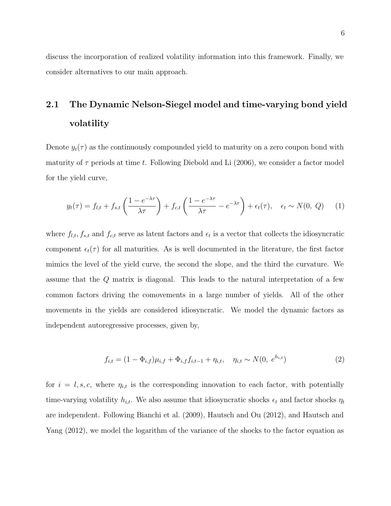<span id="page-5-0"></span>discuss the incorporation of realized volatility information into this framework. Finally, we consider alternatives to our main approach.

# 2.1 The Dynamic Nelson-Siegel model and time-varying bond yield volatility

Denote  $y_t(\tau)$  as the continuously compounded yield to maturity on a zero coupon bond with maturity of  $\tau$  periods at time t. Following [Diebold and Li](#page-35-0) ([2006\)](#page-35-0), we consider a factor model for the yield curve,

$$
y_t(\tau) = f_{l,t} + f_{s,t} \left( \frac{1 - e^{-\lambda \tau}}{\lambda \tau} \right) + f_{c,t} \left( \frac{1 - e^{-\lambda \tau}}{\lambda \tau} - e^{-\lambda \tau} \right) + \epsilon_t(\tau), \quad \epsilon_t \sim N(0, Q) \tag{1}
$$

where  $f_{l,t}$ ,  $f_{s,t}$  and  $f_{c,t}$  serve as latent factors and  $\epsilon_t$  is a vector that collects the idiosyncratic component  $\epsilon_t(\tau)$  for all maturities. As is well documented in the literature, the first factor mimics the level of the yield curve, the second the slope, and the third the curvature. We assume that the Q matrix is diagonal. This leads to the natural interpretation of a few common factors driving the comovements in a large number of yields. All of the other movements in the yields are considered idiosyncratic. We model the dynamic factors as independent autoregressive processes, given by,

$$
f_{i,t} = (1 - \Phi_{i,f})\mu_{i,f} + \Phi_{i,f}f_{i,t-1} + \eta_{i,t}, \quad \eta_{i,t} \sim N(0, e^{h_{i,t}})
$$
 (2)

for  $i = l, s, c$ , where  $\eta_{i,t}$  is the corresponding innovation to each factor, with potentially time-varying volatility  $h_{i,t}$ . We also assume that idiosyncratic shocks  $\epsilon_t$  and factor shocks  $\eta_t$ are independent. Following [Bianchi et al.](#page-34-0) ([2009\)](#page-34-0), [Hautsch and Ou](#page-36-0) ([2012\)](#page-36-0), and [Hautsch and](#page-36-0) [Yang](#page-36-0) [\(2012\)](#page-36-0), we model the logarithm of the variance of the shocks to the factor equation as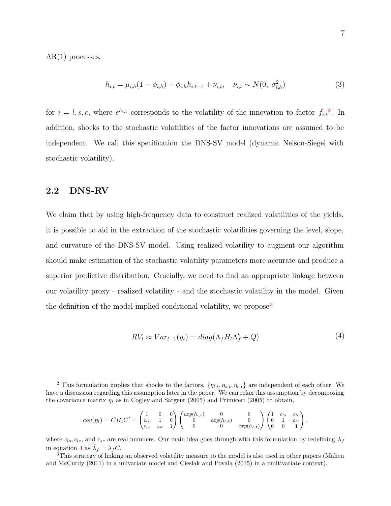<span id="page-6-0"></span> $AR(1)$  processes,

$$
h_{i,t} = \mu_{i,h}(1 - \phi_{i,h}) + \phi_{i,h}h_{i,t-1} + \nu_{i,t}, \quad \nu_{i,t} \sim N(0, \sigma_{i,h}^2)
$$
 (3)

for  $i = l, s, c$ , where  $e^{h_{i,t}}$  corresponds to the volatility of the innovation to factor  $f_{i,t}^2$ . In addition, shocks to the stochastic volatilities of the factor innovations are assumed to be independent. We call this specification the DNS-SV model (dynamic Nelson-Siegel with stochastic volatility).

### 2.2 DNS-RV

We claim that by using high-frequency data to construct realized volatilities of the yields, it is possible to aid in the extraction of the stochastic volatilities governing the level, slope, and curvature of the DNS-SV model. Using realized volatility to augment our algorithm should make estimation of the stochastic volatility parameters more accurate and produce a superior predictive distribution. Crucially, we need to find an appropriate linkage between our volatility proxy - realized volatility - and the stochastic volatility in the model. Given the definition of the model-implied conditional volatility, we propose<sup>3</sup>

$$
RV_t \approx Var_{t-1}(y_t) = diag(\Lambda_f H_t \Lambda_f' + Q)
$$
\n<sup>(4)</sup>

$$
cov(\eta_t) = CH_t C' = \begin{pmatrix} 1 & 0 & 0 \\ c_{ls} & 1 & 0 \\ c_{lc} & c_{sc} & 1 \end{pmatrix} \begin{pmatrix} exp(h_{l,t}) & 0 & 0 \\ 0 & exp(h_{s,t}) & 0 \\ 0 & 0 & exp(h_{c,t}) \end{pmatrix} \begin{pmatrix} 1 & c_{ls} & c_{lc} \\ 0 & 1 & c_{sc} \\ 0 & 0 & 1 \end{pmatrix},
$$

where  $c_{ls}$ ,  $c_{lc}$ , and  $c_{sc}$  are real numbers. Our main idea goes through with this formulation by redefining  $\lambda_f$ in equation 4 as  $\lambda_f = \lambda_f C$ .<br><sup>3</sup>This strategy of linking an observed volatility measure to the model is also used in other papers ([Maheu](#page-36-0)

<sup>&</sup>lt;sup>2</sup> This formulation implies that shocks to the factors,  $\{\eta_{l,t}, \eta_{s,t}, \eta_{c,t}\}$  are independent of each other. We have a discussion regarding this assumption later in the paper. We can relax this assumption by decomposing the covariance matrix  $\eta_t$  as in [Cogley and Sargent](#page-34-0) ([2005\)](#page-34-0) and [Primiceri](#page-36-0) ([2005](#page-36-0)) to obtain,

[and McCurdy](#page-36-0) ([2011](#page-36-0)) in a univariate model and [Cieslak and Povala](#page-34-0) ([2015\)](#page-34-0) in a multivariate context).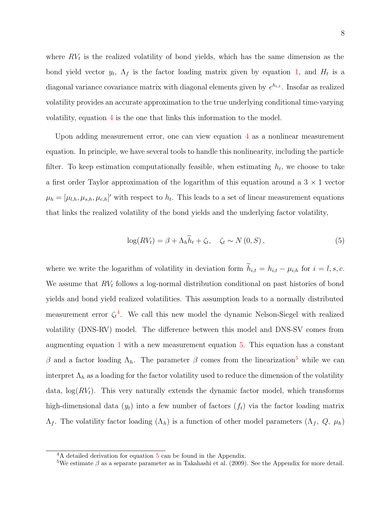<span id="page-7-0"></span>where  $RV<sub>t</sub>$  is the realized volatility of bond yields, which has the same dimension as the bond yield vector  $y_t$ ,  $\Lambda_f$  is the factor loading matrix given by equation [1,](#page-5-0) and  $H_t$  is a diagonal variance covariance matrix with diagonal elements given by  $e^{h_{i,t}}$ . Insofar as realized volatility provides an accurate approximation to the true underlying conditional time-varying volatility, equation [4](#page-6-0) is the one that links this information to the model.

Upon adding measurement error, one can view equation [4](#page-6-0) as a nonlinear measurement equation. In principle, we have several tools to handle this nonlinearity, including the particle filter. To keep estimation computationally feasible, when estimating  $h_t$ , we choose to take a first order Taylor approximation of the logarithm of this equation around a  $3 \times 1$  vector  $\mu_h = [\mu_{l,h}, \mu_{s,h}, \mu_{c,h}]'$  with respect to  $h_t$ . This leads to a set of linear measurement equations that links the realized volatility of the bond yields and the underlying factor volatility,

$$
\log(RV_t) = \beta + \Lambda_h \tilde{h}_t + \zeta_t, \quad \zeta_t \sim N(0, S), \tag{5}
$$

where we write the logarithm of volatility in deviation form  $h_{i,t} = h_{i,t} - \mu_{i,h}$  for  $i = l, s, c$ . We assume that  $RV<sub>t</sub>$  follows a log-normal distribution conditional on past histories of bond yields and bond yield realized volatilities. This assumption leads to a normally distributed measurement error  $\zeta_t^4$ . We call this new model the dynamic Nelson-Siegel with realized volatility (DNS-RV) model. The difference between this model and DNS-SV comes from augmenting equation [1](#page-5-0) with a new measurement equation 5. This equation has a constant β and a factor loading  $Λ<sub>h</sub>$ . The parameter β comes from the linearization<sup>5</sup> while we can interpret  $\Lambda_h$  as a loading for the factor volatility used to reduce the dimension of the volatility data,  $\log(RV_t)$ . This very naturally extends the dynamic factor model, which transforms high-dimensional data  $(y_t)$  into a few number of factors  $(f_t)$  via the factor loading matrix  $Λ_f$ . The volatility factor loading  $(Λ_h)$  is a function of other model parameters  $(Λ_f, Q, μ_h)$ 

<sup>&</sup>lt;sup>4</sup>A detailed derivation for equation 5 can be found in the Appendix.

<sup>&</sup>lt;sup>5</sup>We estimate  $\beta$  as a separate parameter as in [Takahashi et al.](#page-36-0) ([2009\)](#page-36-0). See the Appendix for more detail.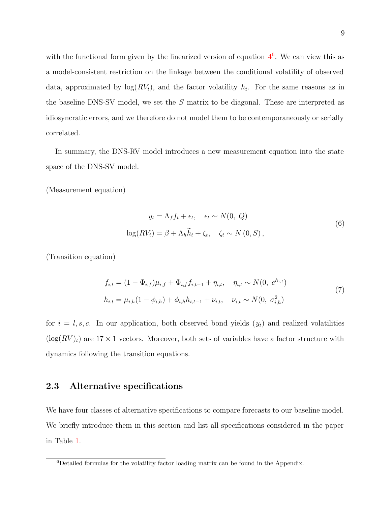<span id="page-8-0"></span>with the functional form given by the linearized version of equation  $4<sup>6</sup>$  $4<sup>6</sup>$ . We can view this as a model-consistent restriction on the linkage between the conditional volatility of observed data, approximated by  $log(RV_t)$ , and the factor volatility  $h_t$ . For the same reasons as in the baseline DNS-SV model, we set the S matrix to be diagonal. These are interpreted as idiosyncratic errors, and we therefore do not model them to be contemporaneously or serially correlated.

In summary, the DNS-RV model introduces a new measurement equation into the state space of the DNS-SV model.

(Measurement equation)

$$
y_t = \Lambda_f f_t + \epsilon_t, \quad \epsilon_t \sim N(0, Q)
$$

$$
\log(RV_t) = \beta + \Lambda_h \widetilde{h}_t + \zeta_t, \quad \zeta_t \sim N(0, S),
$$
 (6)

(Transition equation)

$$
f_{i,t} = (1 - \Phi_{i,f})\mu_{i,f} + \Phi_{i,f}f_{i,t-1} + \eta_{i,t}, \quad \eta_{i,t} \sim N(0, e^{h_{i,t}})
$$
  
\n
$$
h_{i,t} = \mu_{i,h}(1 - \phi_{i,h}) + \phi_{i,h}h_{i,t-1} + \nu_{i,t}, \quad \nu_{i,t} \sim N(0, \sigma_{i,h}^2)
$$
\n
$$
(7)
$$

for  $i = l, s, c$ . In our application, both observed bond yields  $(y_t)$  and realized volatilities  $(\log(RV)_t)$  are 17 × 1 vectors. Moreover, both sets of variables have a factor structure with dynamics following the transition equations.

### 2.3 Alternative specifications

We have four classes of alternative specifications to compare forecasts to our baseline model. We briefly introduce them in this section and list all specifications considered in the paper in Table [1.](#page-9-0)

<sup>6</sup>Detailed formulas for the volatility factor loading matrix can be found in the Appendix.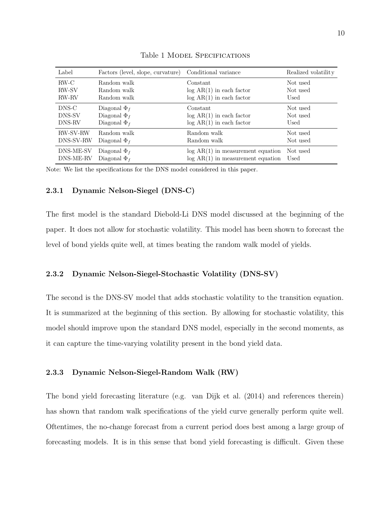<span id="page-9-0"></span>

| Label           | Factors (level, slope, curvature) | Conditional variance                | Realized volatility |
|-----------------|-----------------------------------|-------------------------------------|---------------------|
| $RW-C$          | Random walk                       | Constant                            | Not used            |
| <b>RW-SV</b>    | Random walk                       | $log AR(1)$ in each factor          | Not used            |
| <b>RW-RV</b>    | Random walk                       | $log AR(1)$ in each factor          | Used                |
| DNS-C           | Diagonal $\Phi_f$                 | Constant                            | Not used            |
| DNS-SV          | Diagonal $\Phi_f$                 | $log AR(1)$ in each factor          | Not used            |
| DNS-RV          | Diagonal $\Phi_f$                 | $log AR(1)$ in each factor          | Used                |
| <b>RW-SV-RW</b> | Random walk                       | Random walk                         | Not used            |
| DNS-SV-RW       | Diagonal $\Phi_f$                 | Random walk                         | Not used            |
| DNS-ME-SV       | Diagonal $\Phi_f$                 | $log AR(1)$ in measurement equation | Not used            |
| DNS-ME-RV       | Diagonal $\Phi_f$                 | $log AR(1)$ in measurement equation | Used                |

Table 1 MODEL SPECIFICATIONS

Note: We list the specifications for the DNS model considered in this paper.

#### 2.3.1 Dynamic Nelson-Siegel (DNS-C)

The first model is the standard Diebold-Li DNS model discussed at the beginning of the paper. It does not allow for stochastic volatility. This model has been shown to forecast the level of bond yields quite well, at times beating the random walk model of yields.

### 2.3.2 Dynamic Nelson-Siegel-Stochastic Volatility (DNS-SV)

The second is the DNS-SV model that adds stochastic volatility to the transition equation. It is summarized at the beginning of this section. By allowing for stochastic volatility, this model should improve upon the standard DNS model, especially in the second moments, as it can capture the time-varying volatility present in the bond yield data.

#### 2.3.3 Dynamic Nelson-Siegel-Random Walk (RW)

The bond yield forecasting literature (e.g. [van Dijk et al.](#page-37-0) ([2014\)](#page-37-0) and references therein) has shown that random walk specifications of the yield curve generally perform quite well. Oftentimes, the no-change forecast from a current period does best among a large group of forecasting models. It is in this sense that bond yield forecasting is difficult. Given these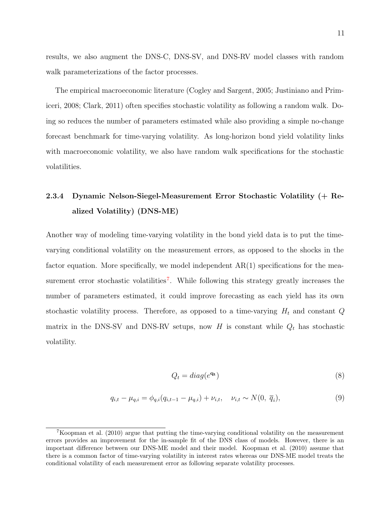<span id="page-10-0"></span>results, we also augment the DNS-C, DNS-SV, and DNS-RV model classes with random walk parameterizations of the factor processes.

The empirical macroeconomic literature ([Cogley and Sargent,](#page-34-0) [2005;](#page-34-0) [Justiniano and Prim](#page-36-0)[iceri](#page-36-0), [2008;](#page-36-0) [Clark,](#page-34-0) [2011\)](#page-34-0) often specifies stochastic volatility as following a random walk. Doing so reduces the number of parameters estimated while also providing a simple no-change forecast benchmark for time-varying volatility. As long-horizon bond yield volatility links with macroeconomic volatility, we also have random walk specifications for the stochastic volatilities.

# 2.3.4 Dynamic Nelson-Siegel-Measurement Error Stochastic Volatility (+ Realized Volatility) (DNS-ME)

Another way of modeling time-varying volatility in the bond yield data is to put the timevarying conditional volatility on the measurement errors, as opposed to the shocks in the factor equation. More specifically, we model independent  $AR(1)$  specifications for the measurement error stochastic volatilities<sup>7</sup>. While following this strategy greatly increases the number of parameters estimated, it could improve forecasting as each yield has its own stochastic volatility process. Therefore, as opposed to a time-varying  $H_t$  and constant  $Q$ matrix in the DNS-SV and DNS-RV setups, now H is constant while  $Q_t$  has stochastic volatility.

$$
Q_t = diag(e^{\mathbf{q_t}})
$$
\n(8)

$$
q_{i,t} - \mu_{q,i} = \phi_{q,i}(q_{i,t-1} - \mu_{q,i}) + \nu_{i,t}, \quad \nu_{i,t} \sim N(0, \overline{q}_i),
$$
\n(9)

<sup>7</sup>[Koopman et al.](#page-36-0) ([2010\)](#page-36-0) argue that putting the time-varying conditional volatility on the measurement errors provides an improvement for the in-sample fit of the DNS class of models. However, there is an important difference between our DNS-ME model and their model. [Koopman et al.](#page-36-0) ([2010\)](#page-36-0) assume that there is a common factor of time-varying volatility in interest rates whereas our DNS-ME model treats the conditional volatility of each measurement error as following separate volatility processes.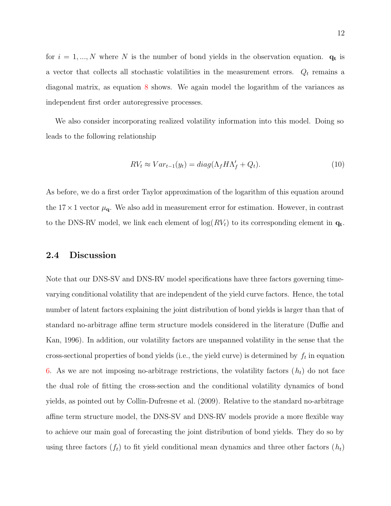<span id="page-11-0"></span>for  $i = 1, ..., N$  where N is the number of bond yields in the observation equation.  $q_t$  is a vector that collects all stochastic volatilities in the measurement errors.  $Q_t$  remains a diagonal matrix, as equation [8](#page-10-0) shows. We again model the logarithm of the variances as independent first order autoregressive processes.

We also consider incorporating realized volatility information into this model. Doing so leads to the following relationship

$$
RV_t \approx Var_{t-1}(y_t) = diag(\Lambda_f H \Lambda'_f + Q_t).
$$
\n(10)

As before, we do a first order Taylor approximation of the logarithm of this equation around the  $17 \times 1$  vector  $\mu_{q}$ . We also add in measurement error for estimation. However, in contrast to the DNS-RV model, we link each element of  $log(RV_t)$  to its corresponding element in  $q_t$ .

### 2.4 Discussion

Note that our DNS-SV and DNS-RV model specifications have three factors governing timevarying conditional volatility that are independent of the yield curve factors. Hence, the total number of latent factors explaining the joint distribution of bond yields is larger than that of standard no-arbitrage affine term structure models considered in the literature ([Duffie and](#page-35-0) [Kan](#page-35-0), [1996\)](#page-35-0). In addition, our volatility factors are unspanned volatility in the sense that the cross-sectional properties of bond yields (i.e., the yield curve) is determined by  $f_t$  in equation [6.](#page-8-0) As we are not imposing no-arbitrage restrictions, the volatility factors  $(h_t)$  do not face the dual role of fitting the cross-section and the conditional volatility dynamics of bond yields, as pointed out by [Collin-Dufresne et al.](#page-35-0) ([2009\)](#page-35-0). Relative to the standard no-arbitrage affine term structure model, the DNS-SV and DNS-RV models provide a more flexible way to achieve our main goal of forecasting the joint distribution of bond yields. They do so by using three factors  $(f_t)$  to fit yield conditional mean dynamics and three other factors  $(h_t)$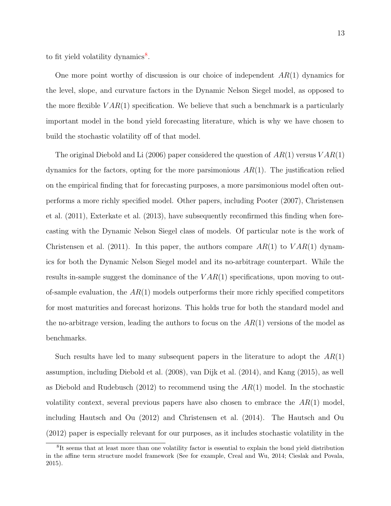to fit yield volatility dynamics<sup>8</sup>.

One more point worthy of discussion is our choice of independent  $AR(1)$  dynamics for the level, slope, and curvature factors in the Dynamic Nelson Siegel model, as opposed to the more flexible  $VAR(1)$  specification. We believe that such a benchmark is a particularly important model in the bond yield forecasting literature, which is why we have chosen to build the stochastic volatility off of that model.

The original [Diebold and Li](#page-35-0) ([2006\)](#page-35-0) paper considered the question of  $AR(1)$  versus  $VAR(1)$ dynamics for the factors, opting for the more parsimonious  $AR(1)$ . The justification relied on the empirical finding that for forecasting purposes, a more parsimonious model often outperforms a more richly specified model. Other papers, including [Pooter](#page-36-0) ([2007\)](#page-36-0), [Christensen](#page-34-0) [et al.](#page-34-0) [\(2011\)](#page-34-0), [Exterkate et al.](#page-35-0) ([2013\)](#page-35-0), have subsequently reconfirmed this finding when forecasting with the Dynamic Nelson Siegel class of models. Of particular note is the work of [Christensen et al.](#page-34-0) ([2011\)](#page-34-0). In this paper, the authors compare  $AR(1)$  to  $VAR(1)$  dynamics for both the Dynamic Nelson Siegel model and its no-arbitrage counterpart. While the results in-sample suggest the dominance of the  $VAR(1)$  specifications, upon moving to outof-sample evaluation, the  $AR(1)$  models outperforms their more richly specified competitors for most maturities and forecast horizons. This holds true for both the standard model and the no-arbitrage version, leading the authors to focus on the  $AR(1)$  versions of the model as benchmarks.

Such results have led to many subsequent papers in the literature to adopt the  $AR(1)$ assumption, including [Diebold et al.](#page-35-0) ([2008\)](#page-35-0), [van Dijk et al.](#page-37-0) ([2014\)](#page-37-0), and [Kang](#page-36-0) ([2015\)](#page-36-0), as well as [Diebold and Rudebusch](#page-35-0) ([2012\)](#page-35-0) to recommend using the  $AR(1)$  model. In the stochastic volatility context, several previous papers have also chosen to embrace the  $AR(1)$  model, including [Hautsch and Ou](#page-36-0) ([2012\)](#page-36-0) and [Christensen et al.](#page-34-0) ([2014\)](#page-34-0). The [Hautsch and Ou](#page-36-0) ([2012\)](#page-36-0) paper is especially relevant for our purposes, as it includes stochastic volatility in the

<sup>8</sup>It seems that at least more than one volatility factor is essential to explain the bond yield distribution in the affine term structure model framework (See for example, [Creal and Wu,](#page-35-0) [2014;](#page-35-0) [Cieslak and Povala,](#page-34-0) [2015\)](#page-34-0).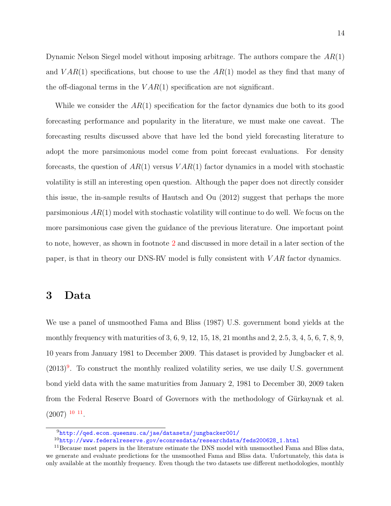Dynamic Nelson Siegel model without imposing arbitrage. The authors compare the  $AR(1)$ and  $VAR(1)$  specifications, but choose to use the  $AR(1)$  model as they find that many of the off-diagonal terms in the  $VAR(1)$  specification are not significant.

While we consider the  $AR(1)$  specification for the factor dynamics due both to its good forecasting performance and popularity in the literature, we must make one caveat. The forecasting results discussed above that have led the bond yield forecasting literature to adopt the more parsimonious model come from point forecast evaluations. For density forecasts, the question of  $AR(1)$  versus  $VAR(1)$  factor dynamics in a model with stochastic volatility is still an interesting open question. Although the paper does not directly consider this issue, the in-sample results of [Hautsch and Ou](#page-36-0) ([2012\)](#page-36-0) suggest that perhaps the more parsimonious  $AR(1)$  model with stochastic volatility will continue to do well. We focus on the more parsimonious case given the guidance of the previous literature. One important point to note, however, as shown in footnote [2](#page-6-0) and discussed in more detail in a later section of the paper, is that in theory our DNS-RV model is fully consistent with V AR factor dynamics.

## 3 Data

We use a panel of unsmoothed [Fama and Bliss](#page-35-0) ([1987\)](#page-35-0) U.S. government bond yields at the monthly frequency with maturities of 3, 6, 9, 12, 15, 18, 21 months and 2, 2.5, 3, 4, 5, 6, 7, 8, 9, 10 years from January 1981 to December 2009. This dataset is provided by [Jungbacker et al.](#page-36-0)  $(2013)^9$  $(2013)^9$  $(2013)^9$ . To construct the monthly realized volatility series, we use daily U.S. government bond yield data with the same maturities from January 2, 1981 to December 30, 2009 taken from the Federal Reserve Board of Governors with the methodology of Gürkaynak et al.  $(2007)$  $(2007)$  <sup>10</sup> <sup>11</sup>.

<sup>9</sup><http://qed.econ.queensu.ca/jae/datasets/jungbacker001/>

 $10$ [http://www.federalreserve.gov/econresdata/researchdata/feds200628\\_1.html](http://www.federalreserve.gov/econresdata/researchdata/feds200628_1.html)

<sup>&</sup>lt;sup>11</sup> Because most papers in the literature estimate the DNS model with unsmoothed Fama and Bliss data, we generate and evaluate predictions for the unsmoothed Fama and Bliss data. Unfortunately, this data is only available at the monthly frequency. Even though the two datasets use different methodologies, monthly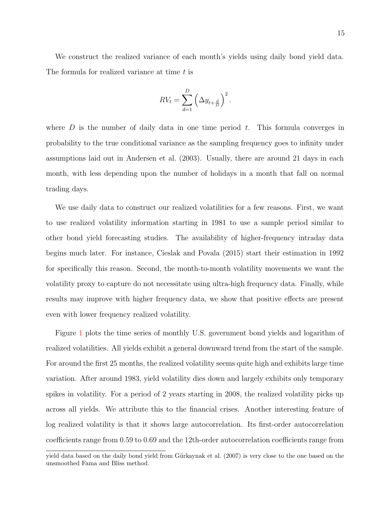We construct the realized variance of each month's yields using daily bond yield data. The formula for realized variance at time t is

$$
RV_t = \sum_{d=1}^{D} \left( \Delta y_{t + \frac{d}{D}} \right)^2.
$$

where  $D$  is the number of daily data in one time period  $t$ . This formula converges in probability to the true conditional variance as the sampling frequency goes to infinity under assumptions laid out in [Andersen et al.](#page-34-0) ([2003\)](#page-34-0). Usually, there are around 21 days in each month, with less depending upon the number of holidays in a month that fall on normal trading days.

We use daily data to construct our realized volatilities for a few reasons. First, we want to use realized volatility information starting in 1981 to use a sample period similar to other bond yield forecasting studies. The availability of higher-frequency intraday data begins much later. For instance, [Cieslak and Povala](#page-34-0) ([2015\)](#page-34-0) start their estimation in 1992 for specifically this reason. Second, the month-to-month volatility movements we want the volatility proxy to capture do not necessitate using ultra-high frequency data. Finally, while results may improve with higher frequency data, we show that positive effects are present even with lower frequency realized volatility.

Figure [1](#page-15-0) plots the time series of monthly U.S. government bond yields and logarithm of realized volatilities. All yields exhibit a general downward trend from the start of the sample. For around the first 25 months, the realized volatility seems quite high and exhibits large time variation. After around 1983, yield volatility dies down and largely exhibits only temporary spikes in volatility. For a period of 2 years starting in 2008, the realized volatility picks up across all yields. We attribute this to the financial crises. Another interesting feature of log realized volatility is that it shows large autocorrelation. Its first-order autocorrelation coefficients range from 0.59 to 0.69 and the 12th-order autocorrelation coefficients range from

yield data based on the daily bond yield from Gürkaynak et al. ([2007\)](#page-35-0) is very close to the one based on the unsmoothed Fama and Bliss method.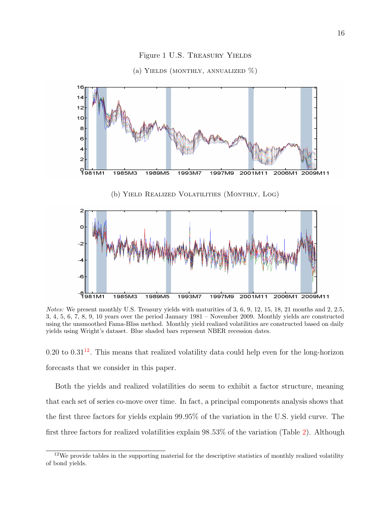<span id="page-15-0"></span>

### Figure 1 U.S. Treasury Yields



Notes: We present monthly U.S. Treasury yields with maturities of 3, 6, 9, 12, 15, 18, 21 months and 2, 2.5, 3, 4, 5, 6, 7, 8, 9, 10 years over the period January 1981 – November 2009. Monthly yields are constructed using the unsmoothed Fama-Bliss method. Monthly yield realized volatilities are constructed based on daily yields using Wright's dataset. Blue shaded bars represent NBER recession dates.

 $0.20$  to  $0.31<sup>12</sup>$ . This means that realized volatility data could help even for the long-horizon forecasts that we consider in this paper.

Both the yields and realized volatilities do seem to exhibit a factor structure, meaning that each set of series co-move over time. In fact, a principal components analysis shows that the first three factors for yields explain 99.95% of the variation in the U.S. yield curve. The first three factors for realized volatilities explain 98.53% of the variation (Table [2](#page-16-0)). Although

 $12$ We provide tables in the supporting material for the descriptive statistics of monthly realized volatility of bond yields.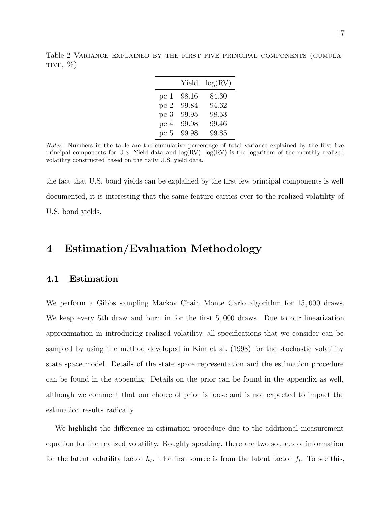Yield log(RV) pc 1 98.16 84.30 pc 2 99.84 94.62 pc 3 99.95 98.53 pc 4 99.98 99.46 pc 5 99.98 99.85

<span id="page-16-0"></span>Table 2 Variance explained by the first five principal components (cumula-TIVE,  $\%$ )

Notes: Numbers in the table are the cumulative percentage of total variance explained by the first five principal components for U.S. Yield data and log(RV). log(RV) is the logarithm of the monthly realized volatility constructed based on the daily U.S. yield data.

the fact that U.S. bond yields can be explained by the first few principal components is well documented, it is interesting that the same feature carries over to the realized volatility of U.S. bond yields.

# 4 Estimation/Evaluation Methodology

### 4.1 Estimation

We perform a Gibbs sampling Markov Chain Monte Carlo algorithm for 15, 000 draws. We keep every 5th draw and burn in for the first 5, 000 draws. Due to our linearization approximation in introducing realized volatility, all specifications that we consider can be sampled by using the method developed in [Kim et al.](#page-36-0) ([1998\)](#page-36-0) for the stochastic volatility state space model. Details of the state space representation and the estimation procedure can be found in the appendix. Details on the prior can be found in the appendix as well, although we comment that our choice of prior is loose and is not expected to impact the estimation results radically.

We highlight the difference in estimation procedure due to the additional measurement equation for the realized volatility. Roughly speaking, there are two sources of information for the latent volatility factor  $h_t$ . The first source is from the latent factor  $f_t$ . To see this,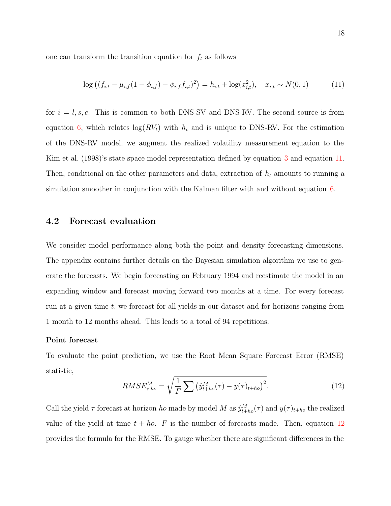one can transform the transition equation for  $f_t$  as follows

$$
\log ((f_{i,t} - \mu_{i,f}(1 - \phi_{i,f}) - \phi_{i,f}f_{i,t})^2) = h_{i,t} + \log(x_{i,t}^2), \quad x_{i,t} \sim N(0,1)
$$
 (11)

for  $i = l, s, c$ . This is common to both DNS-SV and DNS-RV. The second source is from equation [6,](#page-8-0) which relates  $log(RV_t)$  with  $h_t$  and is unique to DNS-RV. For the estimation of the DNS-RV model, we augment the realized volatility measurement equation to the [Kim et al.](#page-36-0) ([1998\)](#page-36-0)'s state space model representation defined by equation [3](#page-6-0) and equation 11. Then, conditional on the other parameters and data, extraction of  $h_t$  amounts to running a simulation smoother in conjunction with the Kalman filter with and without equation [6.](#page-8-0)

### 4.2 Forecast evaluation

We consider model performance along both the point and density forecasting dimensions. The appendix contains further details on the Bayesian simulation algorithm we use to generate the forecasts. We begin forecasting on February 1994 and reestimate the model in an expanding window and forecast moving forward two months at a time. For every forecast run at a given time  $t$ , we forecast for all yields in our dataset and for horizons ranging from 1 month to 12 months ahead. This leads to a total of 94 repetitions.

#### Point forecast

To evaluate the point prediction, we use the Root Mean Square Forecast Error (RMSE) statistic,

$$
RMSE_{\tau,ho}^{M} = \sqrt{\frac{1}{F} \sum (\hat{y}_{t+ho}^{M}(\tau) - y(\tau)_{t+ho})^{2}}.
$$
\n(12)

Call the yield  $\tau$  forecast at horizon *ho* made by model M as  $\hat{y}_{t+ho}^{M}(\tau)$  and  $y(\tau)_{t+ho}$  the realized value of the yield at time  $t + ho$ . F is the number of forecasts made. Then, equation 12 provides the formula for the RMSE. To gauge whether there are significant differences in the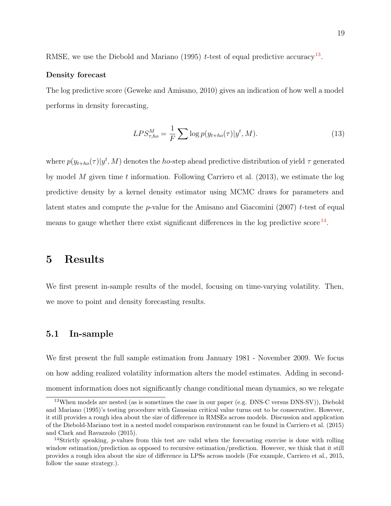RMSE, we use the [Diebold and Mariano](#page-35-0) ([1995\)](#page-35-0) t-test of equal predictive accuracy<sup>13</sup>.

#### Density forecast

The log predictive score ([Geweke and Amisano,](#page-35-0) [2010\)](#page-35-0) gives an indication of how well a model performs in density forecasting,

$$
LPS_{\tau,ho}^M = \frac{1}{F} \sum \log p(y_{t+ho}(\tau)|y^t, M). \tag{13}
$$

where  $p(y_{t+ho}(\tau)|y^t, M)$  denotes the *ho*-step ahead predictive distribution of yield  $\tau$  generated by model M given time t information. Following [Carriero et al.](#page-34-0)  $(2013)$  $(2013)$ , we estimate the log predictive density by a kernel density estimator using MCMC draws for parameters and latent states and compute the  $p$ -value for the [Amisano and Giacomini](#page-34-0) ([2007\)](#page-34-0) t-test of equal means to gauge whether there exist significant differences in the log predictive score  $^{14}$ .

## 5 Results

We first present in-sample results of the model, focusing on time-varying volatility. Then, we move to point and density forecasting results.

### 5.1 In-sample

We first present the full sample estimation from January 1981 - November 2009. We focus on how adding realized volatility information alters the model estimates. Adding in secondmoment information does not significantly change conditional mean dynamics, so we relegate

<sup>&</sup>lt;sup>13</sup>When models are nested (as is sometimes the case in our paper (e.g. DNS-C versus DNS-SV)), [Diebold](#page-35-0) [and Mariano](#page-35-0) ([1995\)](#page-35-0)'s testing procedure with Gaussian critical value turns out to be conservative. However, it still provides a rough idea about the size of difference in RMSEs across models. Discussion and application of the Diebold-Mariano test in a nested model comparison environment can be found in [Carriero et al.](#page-34-0) ([2015\)](#page-34-0) and [Clark and Ravazzolo](#page-34-0) ([2015\)](#page-34-0).

<sup>&</sup>lt;sup>14</sup>Strictly speaking, p-values from this test are valid when the forecasting exercise is done with rolling window estimation/prediction as opposed to recursive estimation/prediction. However, we think that it still provides a rough idea about the size of difference in LPSs across models (For example, [Carriero et al.,](#page-34-0) [2015,](#page-34-0) follow the same strategy.).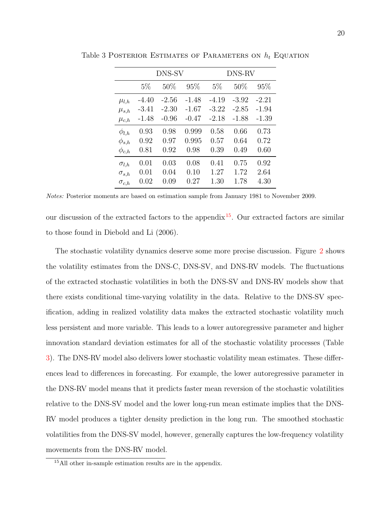|                |         | DNS-SV  |         | DNS-RV  |         |         |  |
|----------------|---------|---------|---------|---------|---------|---------|--|
|                | $5\%$   | 50%     | 95%     | $5\%$   | 50%     | 95%     |  |
| $\mu_{l,h}$    | $-4.40$ | $-2.56$ | $-1.48$ | $-4.19$ | $-3.92$ | $-2.21$ |  |
| $\mu_{s,h}$    | -3.41   | $-2.30$ | $-1.67$ | $-3.22$ | $-2.85$ | $-1.94$ |  |
| $\mu_{c,h}$    | $-1.48$ | $-0.96$ | $-0.47$ | $-2.18$ | $-1.88$ | $-1.39$ |  |
| $\phi_{l,h}$   | 0.93    | 0.98    | 0.999   | 0.58    | 0.66    | 0.73    |  |
| $\phi_{s,h}$   | 0.92    | 0.97    | 0.995   | 0.57    | 0.64    | 0.72    |  |
| $\phi_{c,h}$   | 0.81    | 0.92    | 0.98    | 0.39    | 0.49    | 0.60    |  |
| $\sigma_{l,h}$ | 0.01    | 0.03    | 0.08    | 0.41    | 0.75    | 0.92    |  |
| $\sigma_{s,h}$ | 0.01    | 0.04    | 0.10    | 1.27    | 1.72    | 2.64    |  |
| $\sigma_{c,h}$ | 0.02    | 0.09    | 0.27    | 1.30    | 1.78    | 4.30    |  |

Table 3 POSTERIOR ESTIMATES OF PARAMETERS ON  $h_t$  EQUATION

Notes: Posterior moments are based on estimation sample from January 1981 to November 2009.

our discussion of the extracted factors to the appendix<sup>15</sup>. Our extracted factors are similar to those found in [Diebold and Li](#page-35-0) ([2006\)](#page-35-0).

The stochastic volatility dynamics deserve some more precise discussion. Figure [2](#page-20-0) shows the volatility estimates from the DNS-C, DNS-SV, and DNS-RV models. The fluctuations of the extracted stochastic volatilities in both the DNS-SV and DNS-RV models show that there exists conditional time-varying volatility in the data. Relative to the DNS-SV specification, adding in realized volatility data makes the extracted stochastic volatility much less persistent and more variable. This leads to a lower autoregressive parameter and higher innovation standard deviation estimates for all of the stochastic volatility processes (Table 3). The DNS-RV model also delivers lower stochastic volatility mean estimates. These differences lead to differences in forecasting. For example, the lower autoregressive parameter in the DNS-RV model means that it predicts faster mean reversion of the stochastic volatilities relative to the DNS-SV model and the lower long-run mean estimate implies that the DNS-RV model produces a tighter density prediction in the long run. The smoothed stochastic volatilities from the DNS-SV model, however, generally captures the low-frequency volatility movements from the DNS-RV model.

<sup>15</sup>All other in-sample estimation results are in the appendix.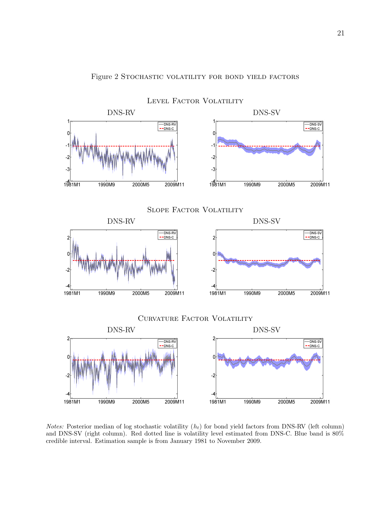<span id="page-20-0"></span>

Figure 2 STOCHASTIC VOLATILITY FOR BOND YIELD FACTORS

Notes: Posterior median of log stochastic volatility  $(h_t)$  for bond yield factors from DNS-RV (left column) and DNS-SV (right column). Red dotted line is volatility level estimated from DNS-C. Blue band is 80% credible interval. Estimation sample is from January 1981 to November 2009.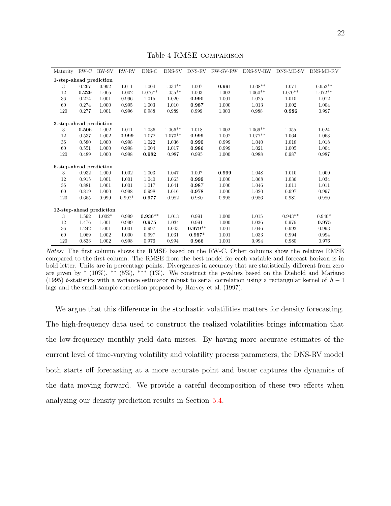<span id="page-21-0"></span>

| Maturity                 |       | RW-C RW-SV | RW-RV    | DNS-C     | DNS-SV    | DNS-RV    | RW-SV-RW | DNS-SV-RW | DNS-ME-SV | DNS-ME-RV |
|--------------------------|-------|------------|----------|-----------|-----------|-----------|----------|-----------|-----------|-----------|
| 1-step-ahead prediction  |       |            |          |           |           |           |          |           |           |           |
| 3                        | 0.267 | 0.992      | 1.011    | 1.004     | $1.034**$ | 1.007     | 0.991    | $1.038**$ | 1.071     | $0.953**$ |
| 12                       | 0.229 | 1.005      | 1.002    | $1.076**$ | $1.055**$ | 1.003     | 1.002    | $1.060**$ | $1.070**$ | $1.072**$ |
| 36                       | 0.274 | 1.001      | 0.996    | 1.015     | 1.020     | 0.990     | 1.001    | 1.025     | 1.010     | 1.012     |
| 60                       | 0.274 | 1.000      | 0.995    | 1.003     | 1.010     | 0.987     | 1.000    | 1.013     | 1.002     | 1.004     |
| 120                      | 0.277 | 1.001      | 0.996    | 0.988     | 0.989     | 0.999     | 1.000    | 0.988     | 0.986     | 0.997     |
| 3-step-ahead prediction  |       |            |          |           |           |           |          |           |           |           |
| 3                        | 0.506 | 1.002      | 1.011    | 1.036     | $1.066**$ | 1.018     | 1.002    | $1.069**$ | 1.055     | 1.024     |
| 12                       | 0.537 | 1.002      | 0.999    | 1.072     | $1.073**$ | 0.999     | 1.002    | $1.077**$ | 1.064     | 1.063     |
| 36                       | 0.580 | 1.000      | 0.998    | 1.022     | 1.036     | 0.990     | 0.999    | 1.040     | 1.018     | 1.018     |
| 60                       | 0.551 | 1.000      | 0.998    | 1.004     | 1.017     | 0.986     | 0.999    | 1.021     | 1.005     | 1.004     |
| 120                      | 0.489 | 1.000      | 0.998    | 0.982     | 0.987     | 0.995     | 1.000    | 0.988     | 0.987     | 0.987     |
| 6-step-ahead prediction  |       |            |          |           |           |           |          |           |           |           |
| 3                        | 0.932 | 1.000      | 1.002    | 1.003     | 1.047     | 1.007     | 0.999    | 1.048     | 1.010     | 1.000     |
| 12                       | 0.915 | 1.001      | 1.001    | 1.040     | 1.065     | 0.999     | 1.000    | 1.068     | 1.036     | 1.034     |
| 36                       | 0.881 | 1.001      | 1.001    | 1.017     | 1.041     | 0.987     | 1.000    | 1.046     | 1.011     | 1.011     |
| 60                       | 0.819 | 1.000      | 0.998    | 0.998     | 1.016     | 0.978     | 1.000    | 1.020     | 0.997     | 0.997     |
| 120                      | 0.665 | 0.999      | $0.992*$ | 0.977     | 0.982     | 0.980     | 0.998    | 0.986     | 0.981     | 0.980     |
| 12-step-ahead prediction |       |            |          |           |           |           |          |           |           |           |
| 3                        | 1.592 | $1.002*$   | 0.999    | $0.936**$ | 1.013     | 0.991     | 1.000    | 1.015     | $0.943**$ | $0.940*$  |
| 12                       | 1.476 | 1.001      | 0.999    | 0.975     | 1.034     | 0.991     | 1.000    | 1.036     | 0.976     | 0.975     |
| 36                       | 1.242 | 1.001      | 1.001    | 0.997     | 1.043     | $0.979**$ | 1.001    | 1.046     | 0.993     | 0.993     |
| 60                       | 1.069 | 1.002      | 1.000    | 0.997     | 1.031     | $0.967*$  | 1.001    | 1.033     | 0.994     | 0.994     |
| 120                      | 0.833 | 1.002      | 0.998    | 0.976     | 0.994     | 0.966     | 1.001    | 0.994     | 0.980     | 0.976     |

Table 4 RMSE comparison

Notes: The first column shows the RMSE based on the RW-C. Other columns show the relative RMSE compared to the first column. The RMSE from the best model for each variable and forecast horizon is in bold letter. Units are in percentage points. Divergences in accuracy that are statistically different from zero are given by  $*(10\%),$   $**$  (5%),  $***$  (1%). We construct the p-values based on the [Diebold and Mariano](#page-35-0) ([1995\)](#page-35-0) t-statistics with a variance estimator robust to serial correlation using a rectangular kernel of  $h-1$ lags and the small-sample correction proposed by [Harvey et al.](#page-36-0) ([1997\)](#page-36-0).

We argue that this difference in the stochastic volatilities matters for density forecasting. The high-frequency data used to construct the realized volatilities brings information that the low-frequency monthly yield data misses. By having more accurate estimates of the current level of time-varying volatility and volatility process parameters, the DNS-RV model both starts off forecasting at a more accurate point and better captures the dynamics of the data moving forward. We provide a careful decomposition of these two effects when analyzing our density prediction results in Section [5.4.](#page-26-0)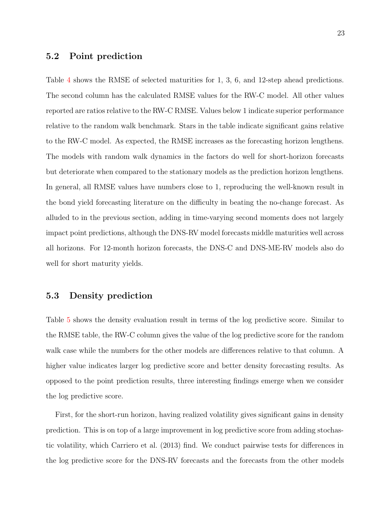### <span id="page-22-0"></span>5.2 Point prediction

Table [4](#page-21-0) shows the RMSE of selected maturities for 1, 3, 6, and 12-step ahead predictions. The second column has the calculated RMSE values for the RW-C model. All other values reported are ratios relative to the RW-C RMSE. Values below 1 indicate superior performance relative to the random walk benchmark. Stars in the table indicate significant gains relative to the RW-C model. As expected, the RMSE increases as the forecasting horizon lengthens. The models with random walk dynamics in the factors do well for short-horizon forecasts but deteriorate when compared to the stationary models as the prediction horizon lengthens. In general, all RMSE values have numbers close to 1, reproducing the well-known result in the bond yield forecasting literature on the difficulty in beating the no-change forecast. As alluded to in the previous section, adding in time-varying second moments does not largely impact point predictions, although the DNS-RV model forecasts middle maturities well across all horizons. For 12-month horizon forecasts, the DNS-C and DNS-ME-RV models also do well for short maturity yields.

### 5.3 Density prediction

Table [5](#page-23-0) shows the density evaluation result in terms of the log predictive score. Similar to the RMSE table, the RW-C column gives the value of the log predictive score for the random walk case while the numbers for the other models are differences relative to that column. A higher value indicates larger log predictive score and better density forecasting results. As opposed to the point prediction results, three interesting findings emerge when we consider the log predictive score.

First, for the short-run horizon, having realized volatility gives significant gains in density prediction. This is on top of a large improvement in log predictive score from adding stochastic volatility, which [Carriero et al.](#page-34-0) ([2013\)](#page-34-0) find. We conduct pairwise tests for differences in the log predictive score for the DNS-RV forecasts and the forecasts from the other models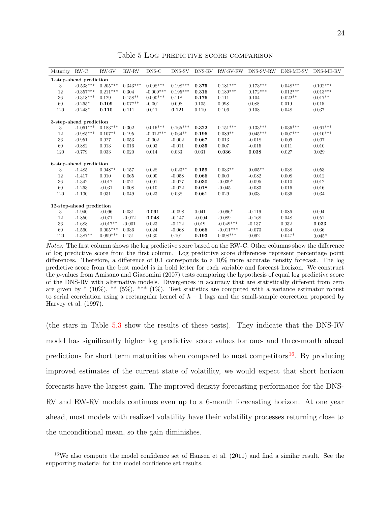<span id="page-23-0"></span>

| Maturity | RW-C                     | RW-SV      | RW-RV      | DNS-C       | DNS-SV     | DNS-RV   | RW-SV-RW    | DNS-SV-RW  | DNS-ME-SV  | DNS-ME-RV  |
|----------|--------------------------|------------|------------|-------------|------------|----------|-------------|------------|------------|------------|
|          | 1-step-ahead prediction  |            |            |             |            |          |             |            |            |            |
| 3        | $-0.538***$              | $0.205***$ | $0.343***$ | $0.008***$  | $0.198***$ | 0.375    | $0.181***$  | $0.173***$ | $0.048***$ | $0.102***$ |
| 12       | $-0.357***$              | $0.211***$ | 0.304      | $-0.009***$ | $0.195***$ | 0.316    | $0.189***$  | $0.172***$ | $0.012***$ | $0.013***$ |
| 36       | $-0.318***$              | 0.129      | $0.158**$  | $0.000***$  | 0.118      | 0.176    | 0.111       | 0.104      | $0.022**$  | $0.017**$  |
| 60       | $-0.265*$                | 0.109      | $0.077**$  | $-0.001$    | 0.098      | 0.105    | 0.098       | 0.088      | 0.019      | 0.015      |
| 120      | $-0.248*$                | 0.110      | 0.111      | 0.011       | 0.121      | 0.110    | 0.106       | 0.108      | 0.048      | 0.037      |
|          | 3-step-ahead prediction  |            |            |             |            |          |             |            |            |            |
| 3        | $-1.061***$              | $0.183***$ | 0.302      | $0.016***$  | $0.165***$ | 0.322    | $0.151***$  | $0.133***$ | $0.036***$ | $0.061***$ |
| 12       | $-0.985***$              | $0.107**$  | 0.195      | $-0.012***$ | $0.064**$  | 0.196    | $0.089**$   | $0.045***$ | $0.007***$ | $0.010***$ |
| 36       | $-0.951$                 | 0.027      | 0.053      | $-0.002$    | $-0.002$   | 0.067    | 0.013       | $-0.018$   | 0.009      | 0.007      |
| 60       | $-0.882$                 | 0.013      | 0.016      | 0.003       | $-0.011$   | 0.035    | 0.007       | $-0.015$   | 0.011      | 0.010      |
| 120      | $-0.779$                 | 0.033      | 0.020      | 0.014       | 0.033      | 0.031    | 0.036       | 0.038      | 0.027      | 0.029      |
|          | 6-step-ahead prediction  |            |            |             |            |          |             |            |            |            |
| 3        | $-1.485$                 | $0.048**$  | 0.157      | 0.028       | $0.023**$  | 0.159    | $0.033**$   | $0.005**$  | 0.038      | 0.053      |
| 12       | $-1.417$                 | 0.010      | 0.065      | 0.000       | $-0.058$   | 0.066    | 0.000       | $-0.082$   | 0.008      | 0.012      |
| 36       | $-1.342$                 | $-0.017$   | 0.021      | 0.001       | $-0.077$   | 0.030    | $-0.039*$   | $-0.095$   | 0.010      | 0.012      |
| 60       | $-1.263$                 | $-0.031$   | 0.008      | 0.010       | $-0.072$   | 0.018    | $-0.045$    | $-0.083$   | 0.016      | 0.016      |
| 120      | $-1.100$                 | 0.031      | 0.049      | 0.023       | 0.038      | 0.061    | 0.029       | 0.033      | 0.036      | 0.034      |
|          | 12-step-ahead prediction |            |            |             |            |          |             |            |            |            |
| 3        | $-1.940$                 | $-0.096$   | 0.031      | 0.091       | $-0.098$   | 0.041    | $-0.096*$   | $-0.119$   | 0.086      | 0.094      |
| 12       | $-1.850$                 | $-0.071$   | $-0.012$   | 0.048       | $-0.147$   | $-0.004$ | $-0.089$    | $-0.168$   | 0.048      | 0.051      |
| 36       | $-1.688$                 | $-0.017**$ | $-0.001$   | 0.023       | $-0.122$   | 0.019    | $-0.049***$ | $-0.137$   | 0.032      | 0.033      |
| 60       | $-1.560$                 | $0.005***$ | 0.036      | 0.024       | $-0.068$   | 0.066    | $-0.011***$ | $-0.073$   | 0.034      | 0.036      |
| 120      | $-1.387**$               | $0.099***$ | 0.151      | 0.030       | 0.101      | 0.193    | $0.098***$  | 0.092      | $0.047*$   | $0.045*$   |

Table 5 Log predictive score comparison

Notes: The first column shows the log predictive score based on the RW-C. Other columns show the difference of log predictive score from the first column. Log predictive score differences represent percentage point differences. Therefore, a difference of 0.1 corresponds to a 10% more accurate density forecast. The log predictive score from the best model is in bold letter for each variable and forecast horizon. We construct the p-values from [Amisano and Giacomini](#page-34-0) ([2007\)](#page-34-0) tests comparing the hypothesis of equal log predictive score of the DNS-RV with alternative models. Divergences in accuracy that are statistically different from zero are given by  $*(10\%)$ ,  $**$  (5%),  $***$  (1%). Test statistics are computed with a variance estimator robust to serial correlation using a rectangular kernel of  $h-1$  lags and the small-sample correction proposed by [Harvey et al.](#page-36-0) ([1997\)](#page-36-0).

(the stars in Table [5.3](#page-22-0) show the results of these tests). They indicate that the DNS-RV model has significantly higher log predictive score values for one- and three-month ahead predictions for short term maturities when compared to most competitors  $^{16}$ . By producing improved estimates of the current state of volatility, we would expect that short horizon forecasts have the largest gain. The improved density forecasting performance for the DNS-RV and RW-RV models continues even up to a 6-month forecasting horizon. At one year ahead, most models with realized volatility have their volatility processes returning close to the unconditional mean, so the gain diminishes.

<sup>&</sup>lt;sup>16</sup>We also compute the model confidence set of [Hansen et al.](#page-36-0)  $(2011)$  $(2011)$  and find a similar result. See the supporting material for the model confidence set results.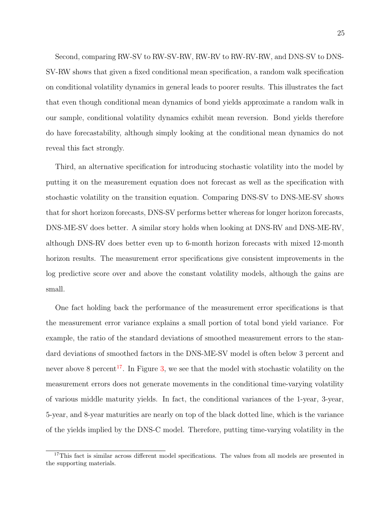Second, comparing RW-SV to RW-SV-RW, RW-RV to RW-RV-RW, and DNS-SV to DNS-SV-RW shows that given a fixed conditional mean specification, a random walk specification on conditional volatility dynamics in general leads to poorer results. This illustrates the fact that even though conditional mean dynamics of bond yields approximate a random walk in our sample, conditional volatility dynamics exhibit mean reversion. Bond yields therefore do have forecastability, although simply looking at the conditional mean dynamics do not reveal this fact strongly.

Third, an alternative specification for introducing stochastic volatility into the model by putting it on the measurement equation does not forecast as well as the specification with stochastic volatility on the transition equation. Comparing DNS-SV to DNS-ME-SV shows that for short horizon forecasts, DNS-SV performs better whereas for longer horizon forecasts, DNS-ME-SV does better. A similar story holds when looking at DNS-RV and DNS-ME-RV, although DNS-RV does better even up to 6-month horizon forecasts with mixed 12-month horizon results. The measurement error specifications give consistent improvements in the log predictive score over and above the constant volatility models, although the gains are small.

One fact holding back the performance of the measurement error specifications is that the measurement error variance explains a small portion of total bond yield variance. For example, the ratio of the standard deviations of smoothed measurement errors to the standard deviations of smoothed factors in the DNS-ME-SV model is often below 3 percent and never above 8 percent<sup>17</sup>. In Figure [3,](#page-25-0) we see that the model with stochastic volatility on the measurement errors does not generate movements in the conditional time-varying volatility of various middle maturity yields. In fact, the conditional variances of the 1-year, 3-year, 5-year, and 8-year maturities are nearly on top of the black dotted line, which is the variance of the yields implied by the DNS-C model. Therefore, putting time-varying volatility in the

<sup>&</sup>lt;sup>17</sup>This fact is similar across different model specifications. The values from all models are presented in the supporting materials.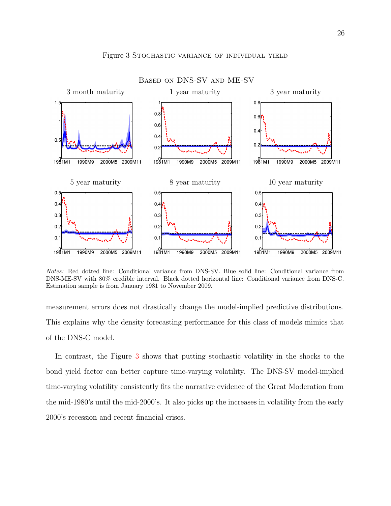<span id="page-25-0"></span>

#### Figure 3 Stochastic variance of individual yield

Notes: Red dotted line: Conditional variance from DNS-SV. Blue solid line: Conditional variance from DNS-ME-SV with 80% credible interval. Black dotted horizontal line: Conditional variance from DNS-C. Estimation sample is from January 1981 to November 2009.

measurement errors does not drastically change the model-implied predictive distributions. This explains why the density forecasting performance for this class of models mimics that of the DNS-C model.

In contrast, the Figure 3 shows that putting stochastic volatility in the shocks to the bond yield factor can better capture time-varying volatility. The DNS-SV model-implied time-varying volatility consistently fits the narrative evidence of the Great Moderation from the mid-1980's until the mid-2000's. It also picks up the increases in volatility from the early 2000's recession and recent financial crises.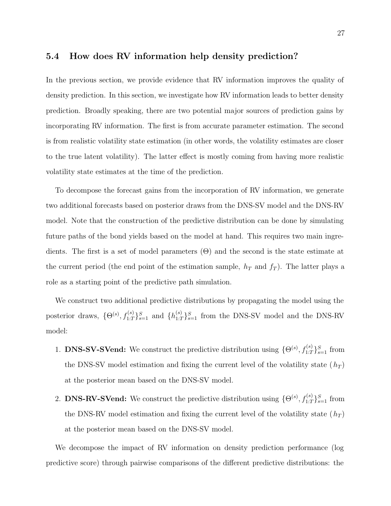### <span id="page-26-0"></span>5.4 How does RV information help density prediction?

In the previous section, we provide evidence that RV information improves the quality of density prediction. In this section, we investigate how RV information leads to better density prediction. Broadly speaking, there are two potential major sources of prediction gains by incorporating RV information. The first is from accurate parameter estimation. The second is from realistic volatility state estimation (in other words, the volatility estimates are closer to the true latent volatility). The latter effect is mostly coming from having more realistic volatility state estimates at the time of the prediction.

To decompose the forecast gains from the incorporation of RV information, we generate two additional forecasts based on posterior draws from the DNS-SV model and the DNS-RV model. Note that the construction of the predictive distribution can be done by simulating future paths of the bond yields based on the model at hand. This requires two main ingredients. The first is a set of model parameters (Θ) and the second is the state estimate at the current period (the end point of the estimation sample,  $h_T$  and  $f_T$ ). The latter plays a role as a starting point of the predictive path simulation.

We construct two additional predictive distributions by propagating the model using the posterior draws,  $\{\Theta^{(s)}, f_{1:T}^{(s)}\}_{s=1}^S$  and  $\{h_{1:T}^{(s)}\}_{s=1}^S$  from the DNS-SV model and the DNS-RV model:

- 1. **DNS-SV-SVend:** We construct the predictive distribution using  $\{\Theta^{(s)}, f_{1:T}^{(s)}\}_{s=1}^S$  from the DNS-SV model estimation and fixing the current level of the volatility state  $(h_T)$ at the posterior mean based on the DNS-SV model.
- 2. **DNS-RV-SVend:** We construct the predictive distribution using  $\{\Theta^{(s)}, f_{1:T}^{(s)}\}_{s=1}^S$  from the DNS-RV model estimation and fixing the current level of the volatility state  $(h_T)$ at the posterior mean based on the DNS-SV model.

We decompose the impact of RV information on density prediction performance (log predictive score) through pairwise comparisons of the different predictive distributions: the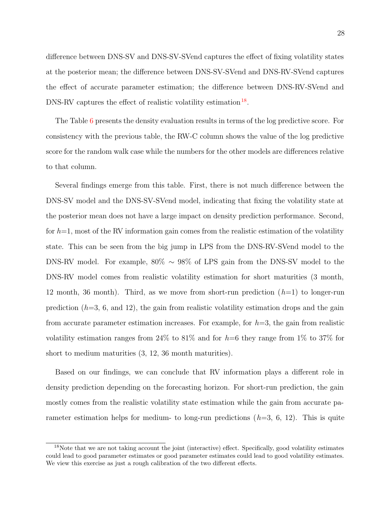difference between DNS-SV and DNS-SV-SVend captures the effect of fixing volatility states at the posterior mean; the difference between DNS-SV-SVend and DNS-RV-SVend captures the effect of accurate parameter estimation; the difference between DNS-RV-SVend and  $DNS-RV$  captures the effect of realistic volatility estimation<sup>18</sup>.

The Table [6](#page-28-0) presents the density evaluation results in terms of the log predictive score. For consistency with the previous table, the RW-C column shows the value of the log predictive score for the random walk case while the numbers for the other models are differences relative to that column.

Several findings emerge from this table. First, there is not much difference between the DNS-SV model and the DNS-SV-SVend model, indicating that fixing the volatility state at the posterior mean does not have a large impact on density prediction performance. Second, for  $h=1$ , most of the RV information gain comes from the realistic estimation of the volatility state. This can be seen from the big jump in LPS from the DNS-RV-SVend model to the DNS-RV model. For example, 80% ∼ 98% of LPS gain from the DNS-SV model to the DNS-RV model comes from realistic volatility estimation for short maturities (3 month, 12 month, 36 month). Third, as we move from short-run prediction  $(h=1)$  to longer-run prediction  $(h=3, 6, \text{ and } 12)$ , the gain from realistic volatility estimation drops and the gain from accurate parameter estimation increases. For example, for  $h=3$ , the gain from realistic volatility estimation ranges from 24% to 81% and for  $h=6$  they range from 1% to 37% for short to medium maturities (3, 12, 36 month maturities).

Based on our findings, we can conclude that RV information plays a different role in density prediction depending on the forecasting horizon. For short-run prediction, the gain mostly comes from the realistic volatility state estimation while the gain from accurate parameter estimation helps for medium- to long-run predictions  $(h=3, 6, 12)$ . This is quite

<sup>&</sup>lt;sup>18</sup>Note that we are not taking account the joint (interactive) effect. Specifically, good volatility estimates could lead to good parameter estimates or good parameter estimates could lead to good volatility estimates. We view this exercise as just a rough calibration of the two different effects.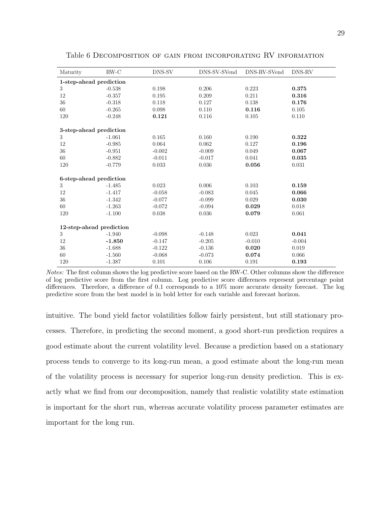| Maturity                 | $RW-C$   | DNS-SV   | DNS-SV-SVend | DNS-RV-SVend | DNS-RV   |
|--------------------------|----------|----------|--------------|--------------|----------|
| 1-step-ahead prediction  |          |          |              |              |          |
| 3                        | $-0.538$ | 0.198    | 0.206        | 0.223        | 0.375    |
| 12                       | $-0.357$ | 0.195    | 0.209        | 0.211        | 0.316    |
| 36                       | $-0.318$ | 0.118    | 0.127        | 0.138        | 0.176    |
| 60                       | $-0.265$ | 0.098    | 0.110        | 0.116        | 0.105    |
| 120                      | $-0.248$ | 0.121    | 0.116        | 0.105        | 0.110    |
| 3-step-ahead prediction  |          |          |              |              |          |
| 3                        | $-1.061$ | 0.165    | 0.160        | 0.190        | 0.322    |
| 12                       | $-0.985$ | 0.064    | 0.062        | 0.127        | 0.196    |
| 36                       | $-0.951$ | $-0.002$ | $-0.009$     | 0.049        | 0.067    |
| 60                       | $-0.882$ | $-0.011$ | $-0.017$     | 0.041        | 0.035    |
| 120                      | $-0.779$ | 0.033    | 0.036        | 0.056        | 0.031    |
| 6-step-ahead prediction  |          |          |              |              |          |
| 3                        | $-1.485$ | 0.023    | 0.006        | 0.103        | 0.159    |
| 12                       | $-1.417$ | $-0.058$ | $-0.083$     | 0.045        | 0.066    |
| 36                       | $-1.342$ | $-0.077$ | $-0.099$     | 0.029        | 0.030    |
| 60                       | $-1.263$ | $-0.072$ | $-0.094$     | 0.029        | 0.018    |
| 120                      | $-1.100$ | 0.038    | 0.036        | 0.079        | 0.061    |
| 12-step-ahead prediction |          |          |              |              |          |
| 3                        | $-1.940$ | $-0.098$ | $-0.148$     | 0.023        | 0.041    |
| 12                       | $-1.850$ | $-0.147$ | $-0.205$     | $-0.010$     | $-0.004$ |
| $36\,$                   | $-1.688$ | $-0.122$ | $-0.136$     | 0.020        | 0.019    |
| 60                       | $-1.560$ | $-0.068$ | $-0.073$     | 0.074        | 0.066    |
| 120                      | $-1.387$ | 0.101    | 0.106        | 0.191        | 0.193    |

<span id="page-28-0"></span>Table 6 Decomposition of gain from incorporating RV information

Notes: The first column shows the log predictive score based on the RW-C. Other columns show the difference of log predictive score from the first column. Log predictive score differences represent percentage point differences. Therefore, a difference of 0.1 corresponds to a 10% more accurate density forecast. The log predictive score from the best model is in bold letter for each variable and forecast horizon.

intuitive. The bond yield factor volatilities follow fairly persistent, but still stationary processes. Therefore, in predicting the second moment, a good short-run prediction requires a good estimate about the current volatility level. Because a prediction based on a stationary process tends to converge to its long-run mean, a good estimate about the long-run mean of the volatility process is necessary for superior long-run density prediction. This is exactly what we find from our decomposition, namely that realistic volatility state estimation is important for the short run, whereas accurate volatility process parameter estimates are important for the long run.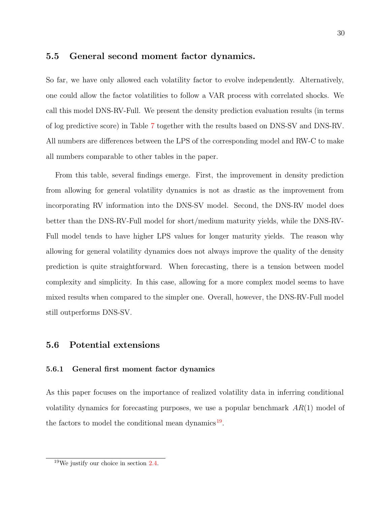### 5.5 General second moment factor dynamics.

So far, we have only allowed each volatility factor to evolve independently. Alternatively, one could allow the factor volatilities to follow a VAR process with correlated shocks. We call this model DNS-RV-Full. We present the density prediction evaluation results (in terms of log predictive score) in Table [7](#page-30-0) together with the results based on DNS-SV and DNS-RV. All numbers are differences between the LPS of the corresponding model and RW-C to make all numbers comparable to other tables in the paper.

From this table, several findings emerge. First, the improvement in density prediction from allowing for general volatility dynamics is not as drastic as the improvement from incorporating RV information into the DNS-SV model. Second, the DNS-RV model does better than the DNS-RV-Full model for short/medium maturity yields, while the DNS-RV-Full model tends to have higher LPS values for longer maturity yields. The reason why allowing for general volatility dynamics does not always improve the quality of the density prediction is quite straightforward. When forecasting, there is a tension between model complexity and simplicity. In this case, allowing for a more complex model seems to have mixed results when compared to the simpler one. Overall, however, the DNS-RV-Full model still outperforms DNS-SV.

### 5.6 Potential extensions

#### 5.6.1 General first moment factor dynamics

As this paper focuses on the importance of realized volatility data in inferring conditional volatility dynamics for forecasting purposes, we use a popular benchmark  $AR(1)$  model of the factors to model the conditional mean dynamics<sup>19</sup>.

<sup>19</sup>We justify our choice in section [2.4.](#page-11-0)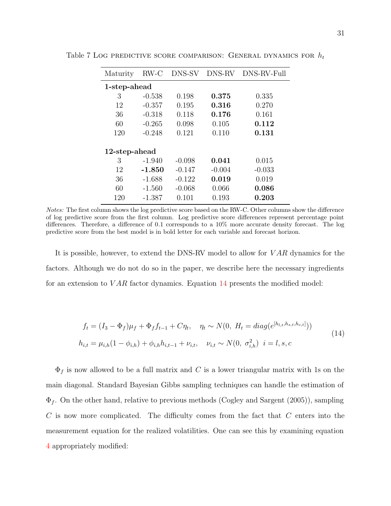| Maturity      | $RW-C$       | DNS-SV   | DNS-RV   | DNS-RV-Full |  |  |  |  |  |  |  |  |
|---------------|--------------|----------|----------|-------------|--|--|--|--|--|--|--|--|
|               | 1-step-ahead |          |          |             |  |  |  |  |  |  |  |  |
| 3             | $-0.538$     | 0.198    | 0.375    | 0.335       |  |  |  |  |  |  |  |  |
| 12            | $-0.357$     | 0.195    | 0.316    | 0.270       |  |  |  |  |  |  |  |  |
| 36            | $-0.318$     | 0.118    | 0.176    | 0.161       |  |  |  |  |  |  |  |  |
| 60            | $-0.265$     | 0.098    | 0.105    | 0.112       |  |  |  |  |  |  |  |  |
| 120           | $-0.248$     | 0.121    | 0.110    | 0.131       |  |  |  |  |  |  |  |  |
|               |              |          |          |             |  |  |  |  |  |  |  |  |
| 12-step-ahead |              |          |          |             |  |  |  |  |  |  |  |  |
| 3             | $-1.940$     | $-0.098$ | 0.041    | 0.015       |  |  |  |  |  |  |  |  |
| 12            | $-1.850$     | $-0.147$ | $-0.004$ | $-0.033$    |  |  |  |  |  |  |  |  |
| 36            | $-1.688$     | $-0.122$ | 0.019    | 0.019       |  |  |  |  |  |  |  |  |
| 60            | $-1.560$     | $-0.068$ | 0.066    | 0.086       |  |  |  |  |  |  |  |  |
| 120           | $-1.387$     | 0.101    | 0.193    | 0.203       |  |  |  |  |  |  |  |  |

<span id="page-30-0"></span>Table 7 Log predictive score comparison: General dynamics for  $h_t$ 

Notes: The first column shows the log predictive score based on the RW-C. Other columns show the difference of log predictive score from the first column. Log predictive score differences represent percentage point differences. Therefore, a difference of 0.1 corresponds to a 10% more accurate density forecast. The log predictive score from the best model is in bold letter for each variable and forecast horizon.

It is possible, however, to extend the DNS-RV model to allow for *VAR* dynamics for the factors. Although we do not do so in the paper, we describe here the necessary ingredients for an extension to  $VAR$  factor dynamics. Equation  $14$  presents the modified model:

$$
f_t = (I_3 - \Phi_f)\mu_f + \Phi_f f_{t-1} + C\eta_t, \quad \eta_t \sim N(0, H_t = diag(e^{[h_{l,t}, h_{s,t}, h_{c,t}]}))
$$
  
\n
$$
h_{i,t} = \mu_{i,h}(1 - \phi_{i,h}) + \phi_{i,h}h_{i,t-1} + \nu_{i,t}, \quad \nu_{i,t} \sim N(0, \sigma_{i,h}^2) \quad i = l, s, c
$$
\n(14)

 $\Phi_f$  is now allowed to be a full matrix and C is a lower triangular matrix with 1s on the main diagonal. Standard Bayesian Gibbs sampling techniques can handle the estimation of  $\Phi_f$ . On the other hand, relative to previous methods ([Cogley and Sargent](#page-34-0) ([2005\)](#page-34-0)), sampling C is now more complicated. The difficulty comes from the fact that C enters into the measurement equation for the realized volatilities. One can see this by examining equation [4](#page-6-0) appropriately modified: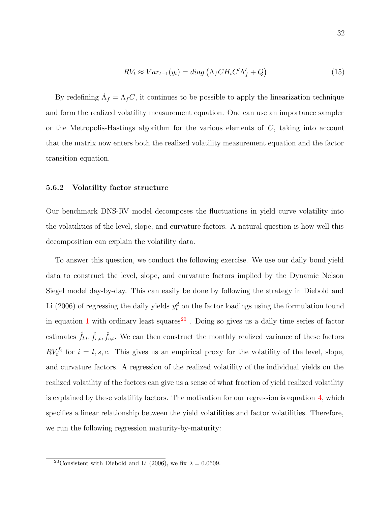$$
RV_t \approx Var_{t-1}(y_t) = diag\left(\Lambda_f C H_t C' \Lambda'_f + Q\right)
$$
\n(15)

By redefining  $\Lambda_f = \Lambda_f C$ , it continues to be possible to apply the linearization technique and form the realized volatility measurement equation. One can use an importance sampler or the Metropolis-Hastings algorithm for the various elements of  $C$ , taking into account that the matrix now enters both the realized volatility measurement equation and the factor transition equation.

#### 5.6.2 Volatility factor structure

Our benchmark DNS-RV model decomposes the fluctuations in yield curve volatility into the volatilities of the level, slope, and curvature factors. A natural question is how well this decomposition can explain the volatility data.

To answer this question, we conduct the following exercise. We use our daily bond yield data to construct the level, slope, and curvature factors implied by the Dynamic Nelson Siegel model day-by-day. This can easily be done by following the strategy in [Diebold and](#page-35-0) [Li](#page-35-0) ([2006\)](#page-35-0) of regressing the daily yields  $y_t^d$  on the factor loadings using the formulation found in equation [1](#page-5-0) with ordinary least squares<sup>20</sup>. Doing so gives us a daily time series of factor estimates  $\hat{f}_{l,t}, \hat{f}_{s,t}, \hat{f}_{c,t}.$  We can then construct the monthly realized variance of these factors  $RV_t^{f_i}$  for  $i = l, s, c$ . This gives us an empirical proxy for the volatility of the level, slope, and curvature factors. A regression of the realized volatility of the individual yields on the realized volatility of the factors can give us a sense of what fraction of yield realized volatility is explained by these volatility factors. The motivation for our regression is equation [4](#page-6-0), which specifies a linear relationship between the yield volatilities and factor volatilities. Therefore, we run the following regression maturity-by-maturity:

<sup>&</sup>lt;sup>20</sup>Consistent with [Diebold and Li](#page-35-0) ([2006\)](#page-35-0), we fix  $\lambda = 0.0609$ .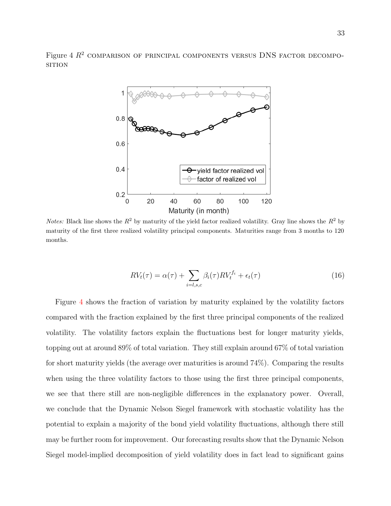Figure 4  $R^2$  comparison of principal components versus DNS factor decompo-**SITION** 



*Notes:* Black line shows the  $R^2$  by maturity of the yield factor realized volatility. Gray line shows the  $R^2$  by maturity of the first three realized volatility principal components. Maturities range from 3 months to 120 months.

$$
RVt(\tau) = \alpha(\tau) + \sum_{i=l,s,c} \beta_i(\tau) RV_t^{f_i} + \epsilon_t(\tau)
$$
\n(16)

Figure 4 shows the fraction of variation by maturity explained by the volatility factors compared with the fraction explained by the first three principal components of the realized volatility. The volatility factors explain the fluctuations best for longer maturity yields, topping out at around 89% of total variation. They still explain around 67% of total variation for short maturity yields (the average over maturities is around 74%). Comparing the results when using the three volatility factors to those using the first three principal components, we see that there still are non-negligible differences in the explanatory power. Overall, we conclude that the Dynamic Nelson Siegel framework with stochastic volatility has the potential to explain a majority of the bond yield volatility fluctuations, although there still may be further room for improvement. Our forecasting results show that the Dynamic Nelson Siegel model-implied decomposition of yield volatility does in fact lead to significant gains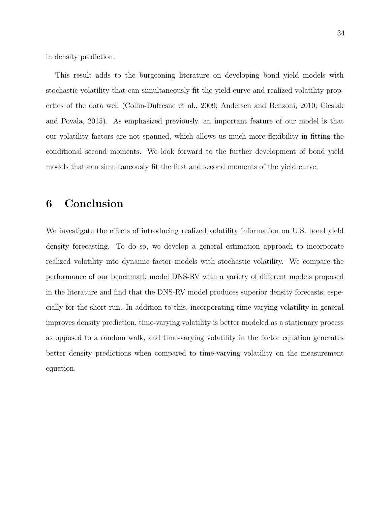in density prediction.

This result adds to the burgeoning literature on developing bond yield models with stochastic volatility that can simultaneously fit the yield curve and realized volatility properties of the data well ([Collin-Dufresne et al., 2009;](#page-35-0) [Andersen and Benzoni,](#page-34-0) [2010;](#page-34-0) [Cieslak](#page-34-0) [and Povala](#page-34-0), [2015\)](#page-34-0). As emphasized previously, an important feature of our model is that our volatility factors are not spanned, which allows us much more flexibility in fitting the conditional second moments. We look forward to the further development of bond yield models that can simultaneously fit the first and second moments of the yield curve.

# 6 Conclusion

We investigate the effects of introducing realized volatility information on U.S. bond yield density forecasting. To do so, we develop a general estimation approach to incorporate realized volatility into dynamic factor models with stochastic volatility. We compare the performance of our benchmark model DNS-RV with a variety of different models proposed in the literature and find that the DNS-RV model produces superior density forecasts, especially for the short-run. In addition to this, incorporating time-varying volatility in general improves density prediction, time-varying volatility is better modeled as a stationary process as opposed to a random walk, and time-varying volatility in the factor equation generates better density predictions when compared to time-varying volatility on the measurement equation.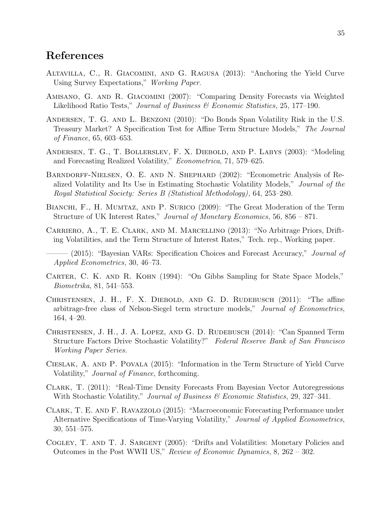# <span id="page-34-0"></span>References

- Altavilla, C., R. Giacomini, and G. Ragusa (2013): "Anchoring the Yield Curve Using Survey Expectations," Working Paper.
- Amisano, G. and R. Giacomini (2007): "Comparing Density Forecasts via Weighted Likelihood Ratio Tests," Journal of Business & Economic Statistics, 25, 177–190.
- Andersen, T. G. and L. Benzoni (2010): "Do Bonds Span Volatility Risk in the U.S. Treasury Market? A Specification Test for Affine Term Structure Models," The Journal of Finance, 65, 603–653.
- Andersen, T. G., T. Bollerslev, F. X. Diebold, and P. Labys (2003): "Modeling and Forecasting Realized Volatility," Econometrica, 71, 579–625.
- Barndorff-Nielsen, O. E. and N. Shephard (2002): "Econometric Analysis of Realized Volatility and Its Use in Estimating Stochastic Volatility Models," Journal of the Royal Statistical Society: Series B (Statistical Methodology), 64, 253–280.
- BIANCHI, F., H. MUMTAZ, AND P. SURICO (2009): "The Great Moderation of the Term Structure of UK Interest Rates," Journal of Monetary Economics, 56, 856 – 871.
- Carriero, A., T. E. Clark, and M. Marcellino (2013): "No Arbitrage Priors, Drifting Volatilities, and the Term Structure of Interest Rates," Tech. rep., Working paper.
- (2015): "Bayesian VARs: Specification Choices and Forecast Accuracy," *Journal of* Applied Econometrics, 30, 46–73.
- Carter, C. K. and R. Kohn (1994): "On Gibbs Sampling for State Space Models," Biometrika, 81, 541–553.
- CHRISTENSEN, J. H., F. X. DIEBOLD, AND G. D. RUDEBUSCH (2011): "The affine arbitrage-free class of Nelson-Siegel term structure models," Journal of Econometrics, 164, 4–20.
- CHRISTENSEN, J. H., J. A. LOPEZ, AND G. D. RUDEBUSCH (2014): "Can Spanned Term Structure Factors Drive Stochastic Volatility?" Federal Reserve Bank of San Francisco Working Paper Series.
- Cieslak, A. and P. Povala (2015): "Information in the Term Structure of Yield Curve Volatility," Journal of Finance, forthcoming.
- Clark, T. (2011): "Real-Time Density Forecasts From Bayesian Vector Autoregressions With Stochastic Volatility," Journal of Business & Economic Statistics, 29, 327-341.
- Clark, T. E. and F. Ravazzolo (2015): "Macroeconomic Forecasting Performance under Alternative Specifications of Time-Varying Volatility," Journal of Applied Econometrics, 30, 551–575.
- COGLEY, T. AND T. J. SARGENT (2005): "Drifts and Volatilities: Monetary Policies and Outcomes in the Post WWII US," Review of Economic Dynamics, 8, 262 – 302.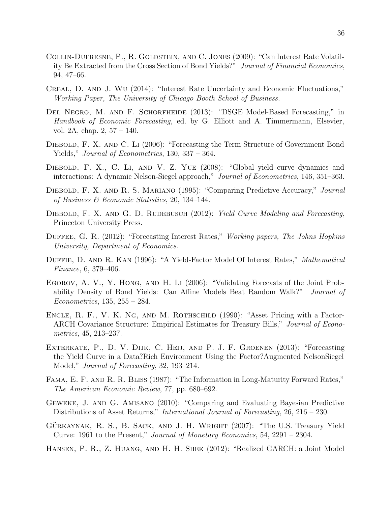- <span id="page-35-0"></span>Collin-Dufresne, P., R. Goldstein, and C. Jones (2009): "Can Interest Rate Volatility Be Extracted from the Cross Section of Bond Yields?" Journal of Financial Economics, 94, 47–66.
- Creal, D. and J. Wu (2014): "Interest Rate Uncertainty and Economic Fluctuations," Working Paper, The University of Chicago Booth School of Business.
- DEL NEGRO, M. AND F. SCHORFHEIDE (2013): "DSGE Model-Based Forecasting," in Handbook of Economic Forecasting, ed. by G. Elliott and A. Timmermann, Elsevier, vol. 2A, chap. 2, 57 – 140.
- Diebold, F. X. and C. Li (2006): "Forecasting the Term Structure of Government Bond Yields," *Journal of Econometrics*, 130, 337 – 364.
- DIEBOLD, F. X., C. LI, AND V. Z. YUE (2008): "Global yield curve dynamics and interactions: A dynamic Nelson-Siegel approach," Journal of Econometrics, 146, 351–363.
- Diebold, F. X. and R. S. Mariano (1995): "Comparing Predictive Accuracy," Journal of Business & Economic Statistics, 20, 134–144.
- DIEBOLD, F. X. AND G. D. RUDEBUSCH (2012): Yield Curve Modeling and Forecasting, Princeton University Press.
- DUFFEE, G. R. (2012): "Forecasting Interest Rates," Working papers, The Johns Hopkins University, Department of Economics.
- DUFFIE, D. AND R. KAN (1996): "A Yield-Factor Model Of Interest Rates," Mathematical Finance, 6, 379–406.
- Egorov, A. V., Y. Hong, and H. Li (2006): "Validating Forecasts of the Joint Probability Density of Bond Yields: Can Affine Models Beat Random Walk?" Journal of Econometrics, 135, 255 – 284.
- ENGLE, R. F., V. K. NG, AND M. ROTHSCHILD (1990): "Asset Pricing with a Factor-ARCH Covariance Structure: Empirical Estimates for Treasury Bills," Journal of Econometrics, 45, 213–237.
- Exterkate, P., D. V. Dijk, C. Heij, and P. J. F. Groenen (2013): "Forecasting the Yield Curve in a Data?Rich Environment Using the Factor?Augmented NelsonSiegel Model," Journal of Forecasting, 32, 193–214.
- Fama, E. F. and R. R. Bliss (1987): "The Information in Long-Maturity Forward Rates," The American Economic Review, 77, pp. 680–692.
- Geweke, J. and G. Amisano (2010): "Comparing and Evaluating Bayesian Predictive Distributions of Asset Returns," International Journal of Forecasting, 26, 216 – 230.
- GÜRKAYNAK, R. S., B. SACK, AND J. H. WRIGHT  $(2007)$ : "The U.S. Treasury Yield Curve: 1961 to the Present," Journal of Monetary Economics, 54, 2291 – 2304.
- Hansen, P. R., Z. Huang, and H. H. Shek (2012): "Realized GARCH: a Joint Model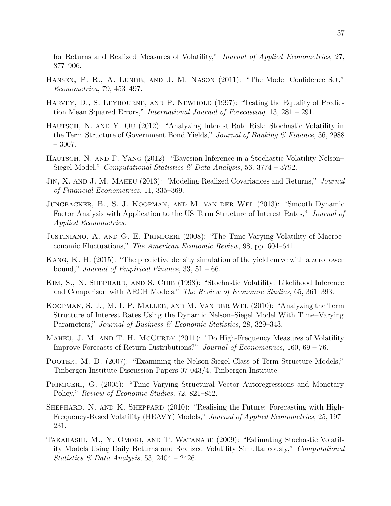<span id="page-36-0"></span>for Returns and Realized Measures of Volatility," Journal of Applied Econometrics, 27, 877–906.

- HANSEN, P. R., A. LUNDE, AND J. M. NASON (2011): "The Model Confidence Set," Econometrica, 79, 453–497.
- HARVEY, D., S. LEYBOURNE, AND P. NEWBOLD (1997): "Testing the Equality of Prediction Mean Squared Errors," International Journal of Forecasting, 13, 281 – 291.
- HAUTSCH, N. AND Y. OU (2012): "Analyzing Interest Rate Risk: Stochastic Volatility in the Term Structure of Government Bond Yields," Journal of Banking & Finance, 36, 2988 – 3007.
- HAUTSCH, N. AND F. YANG (2012): "Bayesian Inference in a Stochastic Volatility Nelson– Siegel Model," Computational Statistics & Data Analysis, 56, 3774 – 3792.
- Jin, X. and J. M. Maheu (2013): "Modeling Realized Covariances and Returns," Journal of Financial Econometrics, 11, 335–369.
- Jungbacker, B., S. J. Koopman, and M. van der Wel (2013): "Smooth Dynamic Factor Analysis with Application to the US Term Structure of Interest Rates," Journal of Applied Econometrics.
- Justiniano, A. and G. E. Primiceri (2008): "The Time-Varying Volatility of Macroeconomic Fluctuations," The American Economic Review, 98, pp. 604–641.
- Kang, K. H. (2015): "The predictive density simulation of the yield curve with a zero lower bound," Journal of Empirical Finance,  $33, 51 - 66$ .
- Kim, S., N. Shephard, and S. Chib (1998): "Stochastic Volatility: Likelihood Inference and Comparison with ARCH Models," The Review of Economic Studies, 65, 361–393.
- Koopman, S. J., M. I. P. Mallee, and M. Van der Wel (2010): "Analyzing the Term Structure of Interest Rates Using the Dynamic Nelson–Siegel Model With Time–Varying Parameters," Journal of Business & Economic Statistics, 28, 329–343.
- MAHEU, J. M. AND T. H. MCCURDY (2011): "Do High-Frequency Measures of Volatility Improve Forecasts of Return Distributions?" Journal of Econometrics, 160, 69 – 76.
- Pooter, M. D. (2007): "Examining the Nelson-Siegel Class of Term Structure Models," Tinbergen Institute Discussion Papers 07-043/4, Tinbergen Institute.
- PRIMICERI, G. (2005): "Time Varying Structural Vector Autoregressions and Monetary Policy," Review of Economic Studies, 72, 821–852.
- SHEPHARD, N. AND K. SHEPPARD (2010): "Realising the Future: Forecasting with High-Frequency-Based Volatility (HEAVY) Models," *Journal of Applied Econometrics*, 25, 197– 231.
- Takahashi, M., Y. Omori, and T. Watanabe (2009): "Estimating Stochastic Volatility Models Using Daily Returns and Realized Volatility Simultaneously," Computational Statistics & Data Analysis, 53, 2404 – 2426.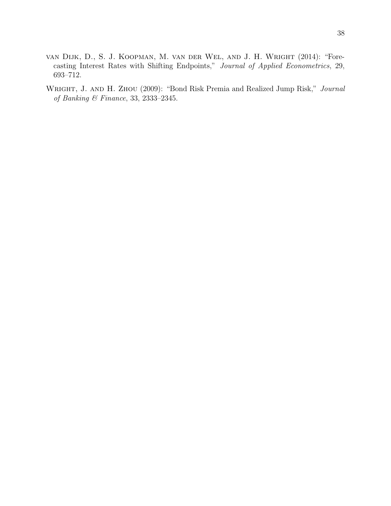- <span id="page-37-0"></span>van Dijk, D., S. J. Koopman, M. van der Wel, and J. H. Wright (2014): "Forecasting Interest Rates with Shifting Endpoints," Journal of Applied Econometrics, 29, 693–712.
- WRIGHT, J. AND H. ZHOU (2009): "Bond Risk Premia and Realized Jump Risk," Journal of Banking & Finance, 33, 2333–2345.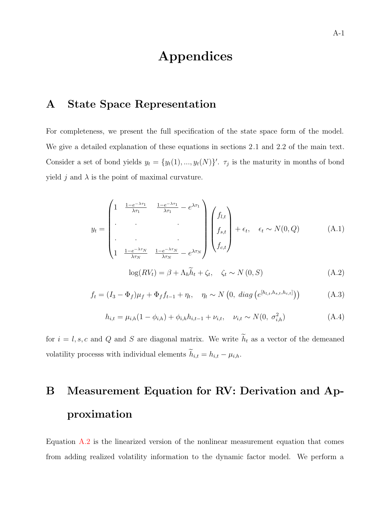# Appendices

# <span id="page-38-0"></span>A State Space Representation

For completeness, we present the full specification of the state space form of the model. We give a detailed explanation of these equations in sections 2.1 and 2.2 of the main text. Consider a set of bond yields  $y_t = \{y_t(1), ..., y_t(N)\}$ .  $\tau_j$  is the maturity in months of bond yield j and  $\lambda$  is the point of maximal curvature.

$$
y_{t} = \begin{pmatrix} 1 & \frac{1 - e^{-\lambda \tau_{1}}}{\lambda \tau_{1}} & \frac{1 - e^{-\lambda \tau_{1}}}{\lambda \tau_{1}} - e^{\lambda \tau_{1}} \\ \cdot & \cdot & \cdot \\ \cdot & \cdot & \cdot \\ 1 & \frac{1 - e^{-\lambda \tau_{N}}}{\lambda \tau_{N}} & \frac{1 - e^{-\lambda \tau_{N}}}{\lambda \tau_{N}} - e^{\lambda \tau_{N}} \end{pmatrix} \begin{pmatrix} f_{l,t} \\ f_{s,t} \\ f_{c,t} \end{pmatrix} + \epsilon_{t}, \quad \epsilon_{t} \sim N(0, Q) \quad (A.1)
$$

$$
log(RV_t) = \beta + \Lambda_h h_t + \zeta_t, \quad \zeta_t \sim N(0, S)
$$
\n(A.2)

$$
f_t = (I_3 - \Phi_f)\mu_f + \Phi_f f_{t-1} + \eta_t, \quad \eta_t \sim N(0, \ diag(e^{[h_{l,t}, h_{s,t}, h_{c,t}]}))
$$
(A.3)

$$
h_{i,t} = \mu_{i,h}(1 - \phi_{i,h}) + \phi_{i,h}h_{i,t-1} + \nu_{i,t}, \quad \nu_{i,t} \sim N(0, \sigma_{i,h}^2)
$$
\n(A.4)

for  $i = l, s, c$  and Q and S are diagonal matrix. We write  $h_t$  as a vector of the demeaned volatility processs with individual elements  $h_{i,t} = h_{i,t} - \mu_{i,h}$ .

# B Measurement Equation for RV: Derivation and Approximation

Equation A.2 is the linearized version of the nonlinear measurement equation that comes from adding realized volatility information to the dynamic factor model. We perform a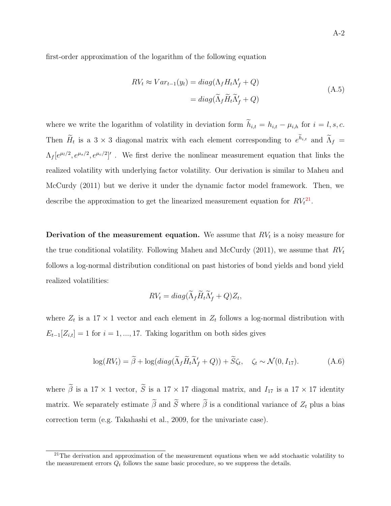<span id="page-39-0"></span>first-order approximation of the logarithm of the following equation

$$
RV_t \approx Var_{t-1}(y_t) = diag(\Lambda_f H_t \Lambda'_f + Q)
$$
  
= 
$$
diag(\widetilde{\Lambda}_f \widetilde{H}_t \widetilde{\Lambda}'_f + Q)
$$
 (A.5)

where we write the logarithm of volatility in deviation form  $h_{i,t} = h_{i,t} - \mu_{i,h}$  for  $i = l, s, c$ . Then  $H_t$  is a 3 × 3 diagonal matrix with each element corresponding to  $e^{h_{i,t}}$  and  $\Lambda_f$  $\Lambda_f[e^{\mu_l/2}, e^{\mu_s/2}, e^{\mu_c/2}]'$ . We first derive the nonlinear measurement equation that links the realized volatility with underlying factor volatility. Our derivation is similar to [Maheu and](#page-36-0) [McCurdy](#page-36-0) ([2011\)](#page-36-0) but we derive it under the dynamic factor model framework. Then, we describe the approximation to get the linearized measurement equation for  $RV_t^{21}$ .

Derivation of the measurement equation. We assume that  $RV<sub>t</sub>$  is a noisy measure for the true conditional volatility. Following [Maheu and McCurdy](#page-36-0) ([2011\)](#page-36-0), we assume that  $RV<sub>t</sub>$ follows a log-normal distribution conditional on past histories of bond yields and bond yield realized volatilities:

$$
RV_t = diag(\widetilde{\Lambda}_f \widetilde{H}_t \widetilde{\Lambda}'_f + Q) Z_t,
$$

where  $Z_t$  is a 17 × 1 vector and each element in  $Z_t$  follows a log-normal distribution with  $E_{t-1}[Z_{i,t}] = 1$  for  $i = 1, ..., 17$ . Taking logarithm on both sides gives

$$
\log(RV_t) = \widetilde{\beta} + \log(diag(\widetilde{\Lambda}_f \widetilde{H}_t \widetilde{\Lambda}'_f + Q)) + \widetilde{S}\zeta_t, \quad \zeta_t \sim \mathcal{N}(0, I_{17}).
$$
 (A.6)

where  $\beta$  is a 17 × 1 vector, S is a 17 × 17 diagonal matrix, and  $I_{17}$  is a 17 × 17 identity matrix. We separately estimate  $\beta$  and S where  $\beta$  is a conditional variance of  $Z_t$  plus a bias correction term (e.g. [Takahashi et al., 2009,](#page-36-0) for the univariate case).

 $21$ The derivation and approximation of the measurement equations when we add stochastic volatility to the measurement errors  $Q_t$  follows the same basic procedure, so we suppress the details.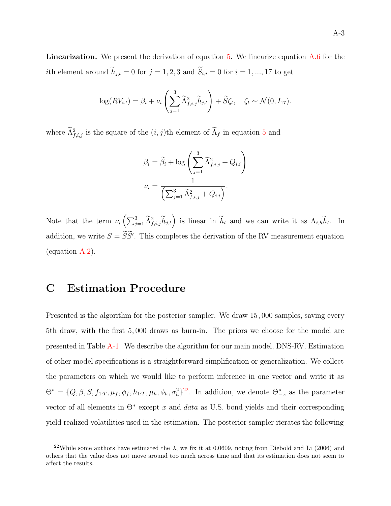**Linearization.** We present the derivation of equation [5](#page-7-0). We linearize equation  $\overline{A}$ .6 for the *i*th element around  $h_{j,t} = 0$  for  $j = 1, 2, 3$  and  $S_{i,i} = 0$  for  $i = 1, ..., 17$  to get

$$
\log(RV_{i,t}) = \beta_i + \nu_i \left( \sum_{j=1}^3 \widetilde{\Lambda}_{f,i,j}^2 \widetilde{h}_{j,t} \right) + \widetilde{S}\zeta_t, \quad \zeta_t \sim \mathcal{N}(0, I_{17}).
$$

where  $\Lambda^2_{f,i,j}$  is the square of the  $(i, j)$ th element of  $\Lambda_f$  in equation [5](#page-7-0) and

$$
\beta_i = \widetilde{\beta}_i + \log \left( \sum_{j=1}^3 \widetilde{\Lambda}_{f,i,j}^2 + Q_{i,i} \right)
$$

$$
\nu_i = \frac{1}{\left( \sum_{j=1}^3 \widetilde{\Lambda}_{f,i,j}^2 + Q_{i,i} \right)}.
$$

Note that the term  $\nu_i\left(\sum_{j=1}^3 \widetilde{\Lambda}_{f,i,j}^2 \widetilde{h}_{j,t}\right)$  is linear in  $\widetilde{h}_t$  and we can write it as  $\Lambda_{i,h} \widetilde{h}_t$ . In addition, we write  $S = SS'$ . This completes the derivation of the RV measurement equation (equation [A.2](#page-38-0)).

# C Estimation Procedure

Presented is the algorithm for the posterior sampler. We draw 15, 000 samples, saving every 5th draw, with the first 5, 000 draws as burn-in. The priors we choose for the model are presented in Table [A-1](#page-41-0). We describe the algorithm for our main model, DNS-RV. Estimation of other model specifications is a straightforward simplification or generalization. We collect the parameters on which we would like to perform inference in one vector and write it as  $\Theta^* = \{Q, \beta, S, f_{1:T}, \mu_f, \phi_f, h_{1:T}, \mu_h, \phi_h, \sigma_h^2\}^{22}$ . In addition, we denote  $\Theta^*_{-x}$  as the parameter vector of all elements in  $\Theta^*$  except x and *data* as U.S. bond yields and their corresponding yield realized volatilities used in the estimation. The posterior sampler iterates the following

<sup>&</sup>lt;sup>22</sup>While some authors have estimated the  $\lambda$ , we fix it at 0.0609, noting from [Diebold and Li](#page-35-0) ([2006\)](#page-35-0) and others that the value does not move around too much across time and that its estimation does not seem to affect the results.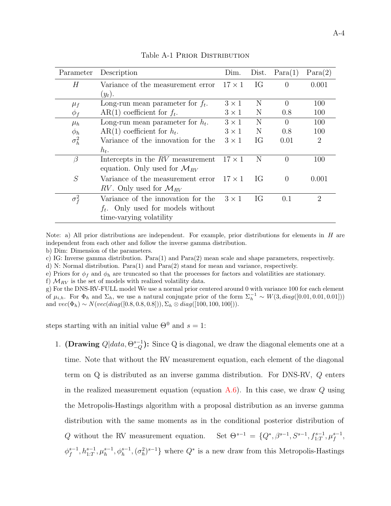<span id="page-41-0"></span>

| Parameter    | Description                                | Dim.          | Dist. | Para(1)        | Para(2)        |
|--------------|--------------------------------------------|---------------|-------|----------------|----------------|
| Н            | Variance of the measurement error          | $17 \times 1$ | IG    | $\overline{0}$ | 0.001          |
|              | $(y_t).$                                   |               |       |                |                |
| $\mu_f$      | Long-run mean parameter for $f_t$ .        | $3 \times 1$  | N     | $\theta$       | 100            |
| $\phi_f$     | $AR(1)$ coefficient for $f_t$ .            | $3 \times 1$  | N     | 0.8            | 100            |
| $\mu_h$      | Long-run mean parameter for $h_t$ .        | $3 \times 1$  | N     | $\Omega$       | 100            |
| $\phi_h$     | $AR(1)$ coefficient for $h_t$ .            | $3 \times 1$  | N     | 0.8            | 100            |
| $\sigma_h^2$ | Variance of the innovation for the         | $3 \times 1$  | IG    | 0.01           | $\overline{2}$ |
|              | $h_t$ .                                    |               |       |                |                |
| $\beta$      | Intercepts in the $RV$ measurement         | $17 \times 1$ | N     | $\Omega$       | 100            |
|              | equation. Only used for $\mathcal{M}_{RV}$ |               |       |                |                |
| S            | Variance of the measurement error          | $17 \times 1$ | IG    | $\Omega$       | 0.001          |
|              | RV. Only used for $\mathcal{M}_{RV}$       |               |       |                |                |
| $\sigma_f^2$ | Variance of the innovation for the         | $3 \times 1$  | IG    | 0.1            | $\overline{2}$ |
|              | $f_t$ . Only used for models without       |               |       |                |                |
|              | time-varying volatility                    |               |       |                |                |

Table A-1 PRIOR DISTRIBUTION

Note: a) All prior distributions are independent. For example, prior distributions for elements in H are independent from each other and follow the inverse gamma distribution.

b) Dim: Dimension of the parameters.

c) IG: Inverse gamma distribution. Para(1) and Para(2) mean scale and shape parameters, respectively.

d) N: Normal distribution. Para(1) and Para(2) stand for mean and variance, respectively.

e) Priors for  $\phi_f$  and  $\phi_h$  are truncated so that the processes for factors and volatilities are stationary.

f)  $M_{RV}$  is the set of models with realized volatility data.

g) For the DNS-RV-FULL model We use a normal prior centered around 0 with variance 100 for each element of  $\mu_{i,h}$ . For  $\Phi_h$  and  $\Sigma_h$ , we use a natural conjugate prior of the form  $\Sigma_h^{-1} \sim W(3, diag([0.01, 0.01, 0.01]))$ and  $vec(\Phi_h) \sim N(vec(diag([0.8, 0.8, 0.8]))$ ,  $\Sigma_h \otimes diag([100, 100, 100])$ .

steps starting with an initial value  $\Theta^0$  and  $s = 1$ :

1. (Drawing  $Q|data, \Theta_{-Q}^{s-1})$ : Since Q is diagonal, we draw the diagonal elements one at a time. Note that without the RV measurement equation, each element of the diagonal term on Q is distributed as an inverse gamma distribution. For DNS-RV, Q enters in the realized measurement equation (equation  $A.6$ ). In this case, we draw  $Q$  using the Metropolis-Hastings algorithm with a proposal distribution as an inverse gamma distribution with the same moments as in the conditional posterior distribution of Q without the RV measurement equation. Set  $\Theta^{s-1} = \{Q^*, \beta^{s-1}, S^{s-1}, f_{1:T}^{s-1}, \mu_f^{s-1}, \mu_f^{s-1}\}$  $\phi_f^{s-1}, h_{1:T}^{s-1}, \mu_h^{s-1}, \phi_h^{s-1}, (\sigma_h^2)^{s-1}\}$  where  $Q^*$  is a new draw from this Metropolis-Hastings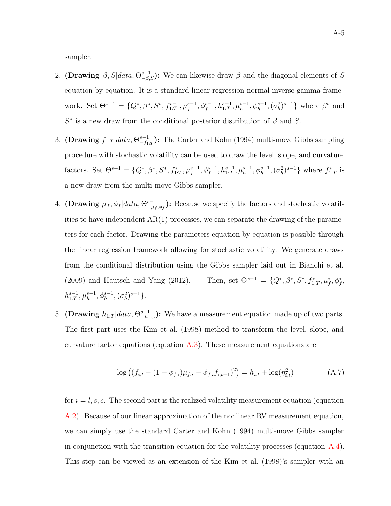sampler.

- 2. (Drawing  $\beta$ ,  $S|data$ ,  $\Theta_{-\beta,S}^{s-1}$ ): We can likewise draw  $\beta$  and the diagonal elements of S equation-by-equation. It is a standard linear regression normal-inverse gamma framework. Set  $\Theta^{s-1} = \{Q^*, \beta^*, S^*, f_{1:T}^{s-1}, \mu_f^{s-1}, \phi_f^{s-1}, h_{1:T}^{s-1}, \mu_h^{s-1}, \phi_h^{s-1}, (\sigma_h^2)^{s-1}\}\$  where  $\beta^*$  and  $S^*$  is a new draw from the conditional posterior distribution of  $\beta$  and  $S.$
- 3. (Drawing  $f_{1:T} |data, \Theta_{-f_{1:T}}^{s-1})$ : The [Carter and Kohn](#page-34-0) ([1994\)](#page-34-0) multi-move Gibbs sampling procedure with stochastic volatility can be used to draw the level, slope, and curvature factors. Set  $\Theta^{s-1} = \{Q^*, \beta^*, S^*, f_{1:T}^*, \mu_f^{s-1}, \phi_f^{s-1}, h_{1:T}^{s-1}, \mu_h^{s-1}, \phi_h^{s-1}, (\sigma_h^2)^{s-1}\}\$  where  $f_{1:T}^*$  is a new draw from the multi-move Gibbs sampler.
- 4. (Drawing  $\mu_f$ ,  $\phi_f|data$ ,  $\Theta_{-\mu_f,\phi_f}^{s-1}$ ): Because we specify the factors and stochastic volatilities to have independent  $AR(1)$  processes, we can separate the drawing of the parameters for each factor. Drawing the parameters equation-by-equation is possible through the linear regression framework allowing for stochastic volatility. We generate draws from the conditional distribution using the Gibbs sampler laid out in [Bianchi et al.](#page-34-0) ([2009](#page-34-0)) and [Hautsch and Yang](#page-36-0) ([2012\)](#page-36-0). Then, set Θ<sup>s</sup>−<sup>1</sup> = {Q∗, β∗, S∗, f <sup>∗</sup> 1:<sup>T</sup> , μ<sup>∗</sup> <sup>f</sup> , φ<sup>∗</sup> f ,  $h_{1:T}^{s-1}, \mu_h^{s-1}, \phi_h^{s-1}, (\sigma_h^2)^{s-1}$ .
- 5. (Drawing  $h_{1:T} |data, \Theta_{-h_{1:T}}^{s-1})$ : We have a measurement equation made up of two parts. The first part uses the [Kim et al.](#page-36-0) ([1998\)](#page-36-0) method to transform the level, slope, and curvature factor equations (equation  $\widehat{A}.3$ ). These measurement equations are

$$
\log ((f_{i,t} - (1 - \phi_{f,i})\mu_{f,i} - \phi_{f,i}f_{i,t-1})^2) = h_{i,t} + \log(\eta_{i,t}^2)
$$
 (A.7)

for  $i = l, s, c$ . The second part is the realized volatility measurement equation (equation) [A.2](#page-38-0)). Because of our linear approximation of the nonlinear RV measurement equation, we can simply use the standard [Carter and Kohn](#page-34-0) ([1994\)](#page-34-0) multi-move Gibbs sampler in conjunction with the transition equation for the volatility processes (equation  $A.4$ ). This step can be viewed as an extension of the [Kim et al.](#page-36-0) ([1998\)](#page-36-0)'s sampler with an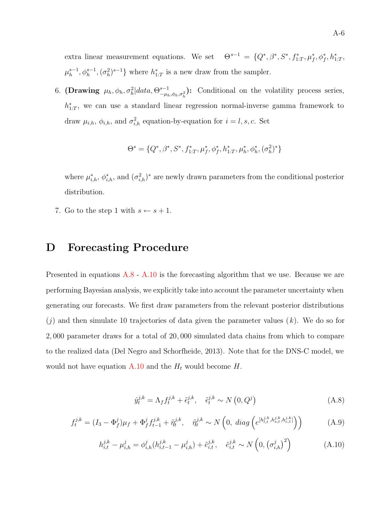extra linear measurement equations. We set  $\Theta^{s-1} = \{Q^*, \beta^*, S^*, f_{1:T}^*, \mu_f^*, \phi_f^*, h_{1:T}^*, \phi_f^*, \phi_f^*, h_{1:T}^*, \phi_f^*, h_{1:T}^*, \phi_f^*, h_{1:T}^*, \phi_f^*, h_{1:T}^*, \phi_f^*, h_{1:T}^*, \phi_f^*, h_{1:T}^*, \phi_f^*, h_{1:T}^*, \phi_f^*, h_{1:T}^*, \phi_f^*, h_{1:T}^*, \phi_f^*, h_{1:T}^*, \phi_f^*, h_{1$  $\mu_h^{s-1}, \phi_h^{s-1}, (\sigma_h^2)^{s-1}$ } where  $h_{1:T}^*$  is a new draw from the sampler.

6. (Drawing  $\mu_h, \phi_h, \sigma_h^2 | data, \Theta_{-\mu_h, \phi_h, \sigma_h^2}^{s-1}$ ): Conditional on the volatility process series,  $h_{1:T}^*$ , we can use a standard linear regression normal-inverse gamma framework to draw  $\mu_{i,h}, \phi_{i,h}$ , and  $\sigma_{i,h}^2$  equation-by-equation for  $i = l, s, c$ . Set

$$
\Theta^s = \{Q^*, \beta^*, S^*, f_{1:T}^*, \mu_f^*, \phi_f^*, h_{1:T}^*, \mu_h^*, \phi_h^*, (\sigma_h^2)^* \}
$$

where  $\mu^*_{i,h}, \phi^*_{i,h}$ , and  $(\sigma^2_{i,h})^*$  are newly drawn parameters from the conditional posterior distribution.

7. Go to the step 1 with  $s \leftarrow s + 1$ .

# D Forecasting Procedure

Presented in equations  $A.8 - A.10$  is the forecasting algorithm that we use. Because we are performing Bayesian analysis, we explicitly take into account the parameter uncertainty when generating our forecasts. We first draw parameters from the relevant posterior distributions  $(j)$  and then simulate 10 trajectories of data given the parameter values  $(k)$ . We do so for 2, 000 parameter draws for a total of 20, 000 simulated data chains from which to compare to the realized data ([Del Negro and Schorfheide,](#page-35-0) [2013\)](#page-35-0). Note that for the DNS-C model, we would not have equation A.10 and the  $H_t$  would become  $H$ .

$$
\hat{y}_t^{j,k} = \Lambda_f f_t^{j,k} + \tilde{\epsilon}_t^{j,k}, \quad \tilde{\epsilon}_t^{j,k} \sim N\left(0, Q^j\right) \tag{A.8}
$$

$$
f_t^{j,k} = (I_3 - \Phi_f^j)\mu_f + \Phi_f^j f_{t-1}^{j,k} + \tilde{\eta}_t^{j,k}, \quad \tilde{\eta}_t^{j,k} \sim N\left(0, \ diag\left(e^{[h_{l,t}^{j,k}, h_{s,t}^{j,k}, h_{c,t}^{j,k}]} \right)\right) \tag{A.9}
$$

$$
h_{i,t}^{j,k} - \mu_{i,h}^j = \phi_{i,h}^j(h_{i,t-1}^{j,k} - \mu_{i,h}^j) + \tilde{e}_{i,t}^{j,k}, \quad \tilde{e}_{i,t}^{j,k} \sim N\left(0, \left(\sigma_{i,h}^j\right)^2\right)
$$
(A.10)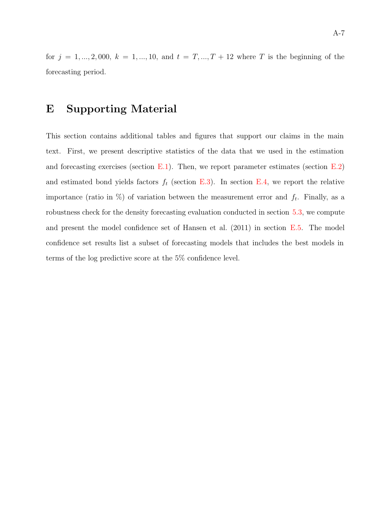for  $j = 1, ..., 2,000, k = 1, ..., 10,$  and  $t = T, ..., T + 12$  where T is the beginning of the forecasting period.

## E Supporting Material

This section contains additional tables and figures that support our claims in the main text. First, we present descriptive statistics of the data that we used in the estimation and forecasting exercises (section [E.1\)](#page-45-0). Then, we report parameter estimates (section  $E.2$ ) and estimated bond yields factors  $f_t$  (section [E.3](#page-51-0)). In section [E.4](#page-52-0), we report the relative importance (ratio in  $\%$ ) of variation between the measurement error and  $f_t$ . Finally, as a robustness check for the density forecasting evaluation conducted in section [5.3](#page-22-0), we compute and present the model confidence set of [Hansen et al.](#page-36-0) ([2011\)](#page-36-0) in section [E.5.](#page-53-0) The model confidence set results list a subset of forecasting models that includes the best models in terms of the log predictive score at the 5% confidence level.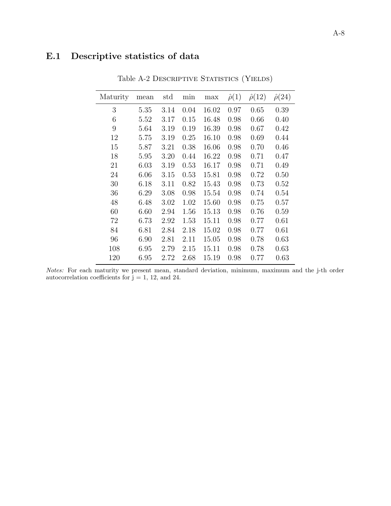# <span id="page-45-0"></span>E.1 Descriptive statistics of data

| Maturity | mean | $_{\rm std}$ | min  | max   | $\hat{\rho}(1)$ | $\hat{\rho}(12)$ | $\hat{\rho}(24)$ |
|----------|------|--------------|------|-------|-----------------|------------------|------------------|
| 3        | 5.35 | 3.14         | 0.04 | 16.02 | 0.97            | 0.65             | 0.39             |
| 6        | 5.52 | 3.17         | 0.15 | 16.48 | 0.98            | 0.66             | 0.40             |
| 9        | 5.64 | 3.19         | 0.19 | 16.39 | 0.98            | 0.67             | 0.42             |
| 12       | 5.75 | 3.19         | 0.25 | 16.10 | 0.98            | 0.69             | 0.44             |
| 15       | 5.87 | 3.21         | 0.38 | 16.06 | 0.98            | 0.70             | 0.46             |
| 18       | 5.95 | 3.20         | 0.44 | 16.22 | 0.98            | 0.71             | 0.47             |
| 21       | 6.03 | 3.19         | 0.53 | 16.17 | 0.98            | 0.71             | 0.49             |
| 24       | 6.06 | 3.15         | 0.53 | 15.81 | 0.98            | 0.72             | 0.50             |
| 30       | 6.18 | 3.11         | 0.82 | 15.43 | 0.98            | 0.73             | 0.52             |
| 36       | 6.29 | 3.08         | 0.98 | 15.54 | 0.98            | 0.74             | 0.54             |
| 48       | 6.48 | 3.02         | 1.02 | 15.60 | 0.98            | 0.75             | 0.57             |
| 60       | 6.60 | 2.94         | 1.56 | 15.13 | 0.98            | 0.76             | 0.59             |
| 72       | 6.73 | 2.92         | 1.53 | 15.11 | 0.98            | 0.77             | 0.61             |
| 84       | 6.81 | 2.84         | 2.18 | 15.02 | 0.98            | 0.77             | 0.61             |
| 96       | 6.90 | 2.81         | 2.11 | 15.05 | 0.98            | 0.78             | 0.63             |
| 108      | 6.95 | 2.79         | 2.15 | 15.11 | 0.98            | 0.78             | 0.63             |
| 120      | 6.95 | 2.72         | 2.68 | 15.19 | 0.98            | 0.77             | 0.63             |
|          |      |              |      |       |                 |                  |                  |

Table A-2 DESCRIPTIVE STATISTICS (YIELDS)

Notes: For each maturity we present mean, standard deviation, minimum, maximum and the j-th order autocorrelation coefficients for  $j = 1, 12,$  and 24.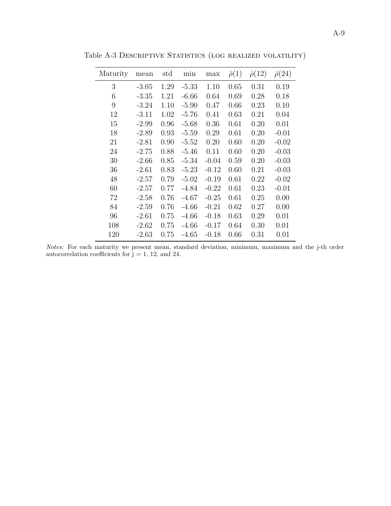| Maturity | mean    | std  | min     | max     | $\hat{\rho}(1)$ | $\hat{\rho}(12)$ | $\hat{\rho}(24)$ |
|----------|---------|------|---------|---------|-----------------|------------------|------------------|
| 3        | $-3.05$ | 1.29 | $-5.33$ | 1.10    | 0.65            | 0.31             | 0.19             |
| 6        | $-3.35$ | 1.21 | $-6.66$ | 0.64    | 0.69            | 0.28             | 0.18             |
| 9        | $-3.24$ | 1.10 | $-5.90$ | 0.47    | 0.66            | 0.23             | 0.10             |
| 12       | $-3.11$ | 1.02 | $-5.76$ | 0.41    | 0.63            | 0.21             | 0.04             |
| 15       | $-2.99$ | 0.96 | $-5.68$ | 0.36    | 0.61            | 0.20             | 0.01             |
| 18       | $-2.89$ | 0.93 | $-5.59$ | 0.29    | 0.61            | 0.20             | $-0.01$          |
| 21       | $-2.81$ | 0.90 | $-5.52$ | 0.20    | 0.60            | 0.20             | $-0.02$          |
| 24       | $-2.75$ | 0.88 | $-5.46$ | 0.11    | 0.60            | 0.20             | $-0.03$          |
| 30       | $-2.66$ | 0.85 | $-5.34$ | $-0.04$ | 0.59            | 0.20             | $-0.03$          |
| 36       | $-2.61$ | 0.83 | $-5.23$ | $-0.12$ | 0.60            | 0.21             | $-0.03$          |
| 48       | $-2.57$ | 0.79 | $-5.02$ | $-0.19$ | 0.61            | 0.22             | $-0.02$          |
| 60       | $-2.57$ | 0.77 | $-4.84$ | $-0.22$ | 0.61            | 0.23             | $-0.01$          |
| 72       | $-2.58$ | 0.76 | $-4.67$ | $-0.25$ | 0.61            | 0.25             | 0.00             |
| 84       | $-2.59$ | 0.76 | $-4.66$ | $-0.21$ | 0.62            | 0.27             | 0.00             |
| 96       | $-2.61$ | 0.75 | $-4.66$ | $-0.18$ | 0.63            | 0.29             | 0.01             |
| 108      | $-2.62$ | 0.75 | $-4.66$ | $-0.17$ | 0.64            | 0.30             | 0.01             |
| 120      | $-2.63$ | 0.75 | -4.65   | $-0.18$ | 0.66            | 0.31             | 0.01             |

Table A-3 Descriptive Statistics (log realized volatility)

Notes: For each maturity we present mean, standard deviation, minimum, maximum and the j-th order autocorrelation coefficients for  $\overline{j} = 1, 12, \text{ and } 24.$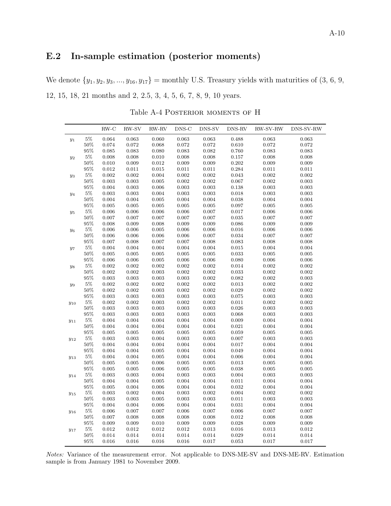# <span id="page-47-0"></span>E.2 In-sample estimation (posterior moments)

We denote  $\{y_1, y_2, y_3, ..., y_{16}, y_{17}\}$  = monthly U.S. Treasury yields with maturities of  $(3, 6, 9, 9)$ 12, 15, 18, 21 months and 2, 2.5, 3, 4, 5, 6, 7, 8, 9, 10 years.

Table A-4 Posterior moments of H

|          |        | $RW-C$      | RW-SV | RW-RV | DNS-C | DNS-SV      | DNS-RV | RW-SV-RW    | DNS-SV-RW |
|----------|--------|-------------|-------|-------|-------|-------------|--------|-------------|-----------|
| $y_1$    | $5\%$  | 0.064       | 0.063 | 0.060 | 0.063 | 0.063       | 0.488  | 0.063       | 0.063     |
|          | $50\%$ | 0.074       | 0.072 | 0.068 | 0.072 | $\rm 0.072$ | 0.610  | 0.072       | 0.072     |
|          | $95\%$ | 0.085       | 0.083 | 0.080 | 0.083 | 0.082       | 0.760  | 0.083       | 0.083     |
| $y_2$    | $5\%$  | 0.008       | 0.008 | 0.010 | 0.008 | 0.008       | 0.157  | 0.008       | 0.008     |
|          | $50\%$ | 0.010       | 0.009 | 0.012 | 0.009 | 0.009       | 0.202  | 0.009       | 0.009     |
|          | $95\%$ | 0.012       | 0.011 | 0.015 | 0.011 | 0.011       | 0.284  | 0.011       | 0.011     |
| $y_3$    | $5\%$  | $\,0.002\,$ | 0.002 | 0.004 | 0.002 | 0.002       | 0.043  | $0.002\,$   | 0.002     |
|          | $50\%$ | 0.003       | 0.003 | 0.005 | 0.002 | 0.002       | 0.067  | 0.002       | 0.003     |
|          | 95%    | 0.004       | 0.003 | 0.006 | 0.003 | 0.003       | 0.138  | 0.003       | 0.003     |
| $y_4$    | $5\%$  | $\rm 0.003$ | 0.003 | 0.004 | 0.003 | $\,0.003\,$ | 0.018  | 0.003       | 0.003     |
|          | 50%    | 0.004       | 0.004 | 0.005 | 0.004 | 0.004       | 0.038  | 0.004       | 0.004     |
|          | $95\%$ | 0.005       | 0.005 | 0.005 | 0.005 | 0.005       | 0.097  | 0.005       | 0.005     |
| $y_5$    | $5\%$  | 0.006       | 0.006 | 0.006 | 0.006 | $0.007\,$   | 0.017  | 0.006       | $0.006\,$ |
|          | $50\%$ | 0.007       | 0.007 | 0.007 | 0.007 | 0.007       | 0.035  | 0.007       | 0.007     |
|          | $95\%$ | 0.008       | 0.009 | 0.008 | 0.009 | 0.009       | 0.086  | 0.009       | 0.009     |
| $y_6$    | $5\%$  | 0.006       | 0.006 | 0.005 | 0.006 | 0.006       | 0.016  | 0.006       | 0.006     |
|          | $50\%$ | 0.006       | 0.006 | 0.006 | 0.006 | 0.007       | 0.034  | 0.007       | 0.007     |
|          | 95%    | 0.007       | 0.008 | 0.007 | 0.007 | 0.008       | 0.083  | 0.008       | 0.008     |
| $y_7$    | $5\%$  | 0.004       | 0.004 | 0.004 | 0.004 | 0.004       | 0.015  | 0.004       | 0.004     |
|          | $50\%$ | 0.005       | 0.005 | 0.005 | 0.005 | 0.005       | 0.033  | 0.005       | 0.005     |
|          | 95%    | 0.006       | 0.006 | 0.005 | 0.006 | 0.006       | 0.080  | 0.006       | 0.006     |
| $y_8$    | $5\%$  | 0.002       | 0.002 | 0.002 | 0.002 | 0.002       | 0.014  | 0.002       | 0.002     |
|          | $50\%$ | 0.002       | 0.002 | 0.003 | 0.002 | $\rm 0.002$ | 0.033  | 0.002       | 0.002     |
|          | $95\%$ | 0.003       | 0.003 | 0.003 | 0.003 | 0.002       | 0.082  | 0.002       | 0.003     |
| $y_9$    | $5\%$  | $\,0.002\,$ | 0.002 | 0.002 | 0.002 | 0.002       | 0.013  | $0.002\,$   | 0.002     |
|          | 50%    | 0.002       | 0.002 | 0.003 | 0.002 | 0.002       | 0.029  | 0.002       | 0.002     |
|          | $95\%$ | 0.003       | 0.003 | 0.003 | 0.003 | 0.003       | 0.075  | 0.003       | 0.003     |
| $y_{10}$ | $5\%$  | 0.002       | 0.002 | 0.003 | 0.002 | 0.002       | 0.011  | 0.002       | 0.002     |
|          | $50\%$ | 0.003       | 0.003 | 0.003 | 0.003 | 0.003       | 0.026  | 0.003       | 0.003     |
|          | $95\%$ | $\rm 0.003$ | 0.003 | 0.003 | 0.003 | 0.003       | 0.068  | 0.003       | 0.003     |
| $y_{11}$ | $5\%$  | 0.004       | 0.004 | 0.004 | 0.004 | 0.004       | 0.009  | 0.004       | 0.004     |
|          | $50\%$ | 0.004       | 0.004 | 0.004 | 0.004 | 0.004       | 0.021  | 0.004       | 0.004     |
|          | $95\%$ | 0.005       | 0.005 | 0.005 | 0.005 | 0.005       | 0.059  | 0.005       | 0.005     |
| $y_{12}$ | $5\%$  | 0.003       | 0.003 | 0.004 | 0.003 | 0.003       | 0.007  | 0.003       | 0.003     |
|          | $50\%$ | 0.004       | 0.004 | 0.004 | 0.004 | 0.004       | 0.017  | 0.004       | 0.004     |
|          | $95\%$ | 0.004       | 0.004 | 0.005 | 0.004 | 0.004       | 0.049  | 0.004       | 0.004     |
| $y_{13}$ | $5\%$  | 0.004       | 0.004 | 0.005 | 0.004 | 0.004       | 0.006  | 0.004       | 0.004     |
|          | $50\%$ | 0.005       | 0.005 | 0.006 | 0.005 | 0.005       | 0.013  | 0.005       | 0.005     |
|          | 95%    | 0.005       | 0.005 | 0.006 | 0.005 | 0.005       | 0.038  | 0.005       | 0.005     |
| $y_{14}$ | $5\%$  | 0.003       | 0.003 | 0.004 | 0.003 | 0.003       | 0.004  | 0.003       | 0.003     |
|          | 50%    | 0.004       | 0.004 | 0.005 | 0.004 | 0.004       | 0.011  | 0.004       | 0.004     |
|          | $95\%$ | 0.005       | 0.004 | 0.006 | 0.004 | 0.004       | 0.032  | 0.004       | 0.004     |
| $y_{15}$ | $5\%$  | 0.003       | 0.002 | 0.004 | 0.003 | 0.002       | 0.004  | 0.002       | 0.002     |
|          | $50\%$ | 0.003       | 0.003 | 0.005 | 0.003 | 0.003       | 0.011  | 0.003       | 0.003     |
|          | $95\%$ | 0.004       | 0.004 | 0.006 | 0.004 | 0.004       | 0.031  | 0.004       | 0.004     |
| $y_{16}$ | $5\%$  | 0.006       | 0.007 | 0.007 | 0.006 | 0.007       | 0.006  | 0.007       | 0.007     |
|          | $50\%$ | 0.007       | 0.008 | 0.008 | 0.008 | 0.008       | 0.012  | 0.008       | 0.008     |
|          | $95\%$ | 0.009       | 0.009 | 0.010 | 0.009 | 0.009       | 0.028  | 0.009       | 0.009     |
| $y_{17}$ | $5\%$  | 0.012       | 0.012 | 0.012 | 0.012 | $\rm 0.013$ | 0.016  | 0.013       | 0.012     |
|          | $50\%$ | $\,0.014\,$ | 0.014 | 0.014 | 0.014 | 0.014       | 0.029  | $\,0.014\,$ | 0.014     |
|          | 95%    | 0.016       | 0.016 | 0.016 | 0.016 | 0.017       | 0.053  | 0.017       | 0.017     |

Notes: Variance of the measurement error. Not applicable to DNS-ME-SV and DNS-ME-RV. Estimation sample is from January 1981 to November 2009.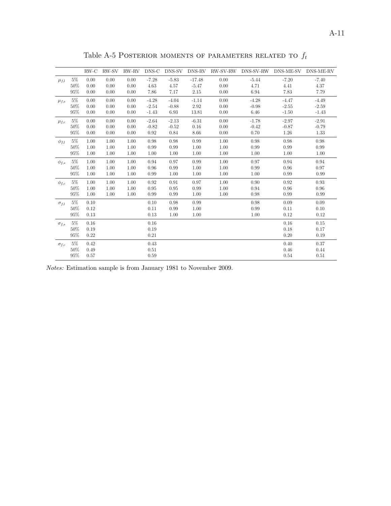|                |        | $RW-C$ | RW-SV | RW-RV | DNS-C   | DNS-SV  | DNS-RV   | RW-SV-RW | DNS-SV-RW | DNS-ME-SV DNS-ME-RV |         |
|----------------|--------|--------|-------|-------|---------|---------|----------|----------|-----------|---------------------|---------|
| $\mu_{f,l}$    | $5\%$  | 0.00   | 0.00  | 0.00  | $-7.28$ | $-5.83$ | $-17.48$ | 0.00     | $-5.44$   | $-7.20$             | $-7.40$ |
|                | 50%    | 0.00   | 0.00  | 0.00  | 4.63    | 4.57    | $-5.47$  | 0.00     | 4.71      | 4.41                | 4.37    |
|                | 95%    | 0.00   | 0.00  | 0.00  | 7.86    | 7.17    | 2.15     | 0.00     | 6.94      | 7.83                | 7.79    |
| $\mu_{f,s}$    | $5\%$  | 0.00   | 0.00  | 0.00  | $-4.28$ | $-4.04$ | $-1.14$  | 0.00     | $-4.28$   | $-4.47$             | $-4.49$ |
|                | 50%    | 0.00   | 0.00  | 0.00  | $-2.54$ | $-0.88$ | 2.92     | 0.00     | $-0.98$   | $-2.55$             | $-2.59$ |
|                | 95%    | 0.00   | 0.00  | 0.00  | $-1.43$ | 6.93    | 13.81    | 0.00     | 6.46      | $-1.50$             | $-1.43$ |
| $\mu_{f,c}$    | $5\%$  | 0.00   | 0.00  | 0.00  | $-2.64$ | $-2.13$ | $-6.31$  | 0.00     | $-1.78$   | $-2.97$             | $-2.91$ |
|                | 50%    | 0.00   | 0.00  | 0.00  | $-0.82$ | $-0.52$ | $0.16\,$ | 0.00     | $-0.42$   | $-0.87$             | $-0.79$ |
|                | 95%    | 0.00   | 0.00  | 0.00  | 0.92    | 0.84    | 8.66     | 0.00     | 0.70      | 1.26                | 1.33    |
| $\phi_{f,l}$   | $5\%$  | 1.00   | 1.00  | 1.00  | 0.98    | 0.98    | 0.99     | 1.00     | 0.98      | 0.98                | 0.98    |
|                | 50%    | 1.00   | 1.00  | 1.00  | 0.99    | 0.99    | 1.00     | 1.00     | 0.99      | 0.99                | 0.99    |
|                | 95%    | 1.00   | 1.00  | 1.00  | 1.00    | 1.00    | 1.00     | 1.00     | 1.00      | 1.00                | 1.00    |
| $\phi_{f,s}$   | $5\%$  | 1.00   | 1.00  | 1.00  | 0.94    | 0.97    | 0.99     | 1.00     | 0.97      | 0.94                | 0.94    |
|                | 50%    | 1.00   | 1.00  | 1.00  | 0.96    | 0.99    | 1.00     | 1.00     | 0.99      | 0.96                | 0.97    |
|                | 95%    | 1.00   | 1.00  | 1.00  | 0.99    | 1.00    | 1.00     | 1.00     | 1.00      | 0.99                | 0.99    |
| $\phi_{f,c}$   | $5\%$  | 1.00   | 1.00  | 1.00  | 0.92    | 0.91    | 0.97     | 1.00     | 0.90      | 0.92                | 0.93    |
|                | 50%    | 1.00   | 1.00  | 1.00  | 0.95    | 0.95    | 0.99     | 1.00     | 0.94      | 0.96                | 0.96    |
|                | 95%    | 1.00   | 1.00  | 1.00  | 0.99    | 0.99    | 1.00     | 1.00     | 0.98      | 0.99                | 0.99    |
| $\sigma_{f,l}$ | $5\%$  | 0.10   |       |       | 0.10    | 0.98    | 0.99     |          | 0.98      | 0.09                | 0.09    |
|                | 50%    | 0.12   |       |       | 0.11    | 0.99    | 1.00     |          | 0.99      | 0.11                | 0.10    |
|                | 95%    | 0.13   |       |       | 0.13    | 1.00    | 1.00     |          | 1.00      | 0.12                | 0.12    |
| $\sigma_{f,s}$ | $5\%$  | 0.16   |       |       | 0.16    |         |          |          |           | 0.16                | 0.15    |
|                | $50\%$ | 0.19   |       |       | 0.19    |         |          |          |           | 0.18                | 0.17    |
|                | 95%    | 0.22   |       |       | 0.21    |         |          |          |           | 0.20                | 0.19    |
| $\sigma_{f,c}$ | $5\%$  | 0.42   |       |       | 0.43    |         |          |          |           | 0.40                | 0.37    |
|                | 50%    | 0.49   |       |       | 0.51    |         |          |          |           | 0.46                | 0.44    |
|                | 95%    | 0.57   |       |       | 0.59    |         |          |          |           | 0.54                | 0.51    |

Table A-5 POSTERIOR MOMENTS OF PARAMETERS RELATED TO  $f_t$ 

Notes: Estimation sample is from January 1981 to November 2009.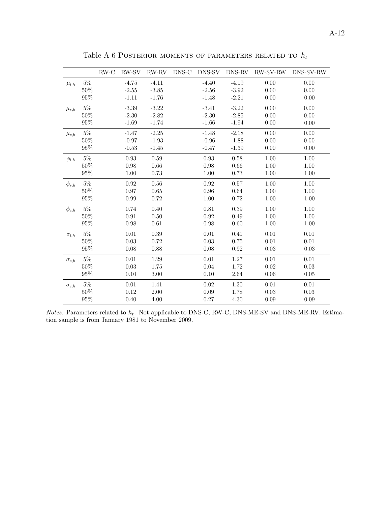|                |        | $RW-C$ | RW-SV    | $RW-RV$ | DNS-C | DNS-SV   | DNS-RV   | RW-SV-RW | DNS-SV-RW |
|----------------|--------|--------|----------|---------|-------|----------|----------|----------|-----------|
| $\mu_{l,h}$    | $5\%$  |        | $-4.75$  | $-4.11$ |       | $-4.40$  | $-4.19$  | 0.00     | 0.00      |
|                | 50%    |        | $-2.55$  | $-3.85$ |       | $-2.56$  | $-3.92$  | 0.00     | 0.00      |
|                | $95\%$ |        | $-1.11$  | $-1.76$ |       | $-1.48$  | $-2.21$  | 0.00     | 0.00      |
| $\mu_{s,h}$    | $5\%$  |        | $-3.39$  | $-3.22$ |       | $-3.41$  | $-3.22$  | 0.00     | 0.00      |
|                | 50%    |        | $-2.30$  | $-2.82$ |       | $-2.30$  | $-2.85$  | 0.00     | 0.00      |
|                | $95\%$ |        | $-1.69$  | $-1.74$ |       | $-1.66$  | $-1.94$  | 0.00     | 0.00      |
| $\mu_{c,h}$    | $5\%$  |        | $-1.47$  | $-2.25$ |       | $-1.48$  | $-2.18$  | 0.00     | 0.00      |
|                | 50%    |        | $-0.97$  | $-1.93$ |       | $-0.96$  | $-1.88$  | 0.00     | 0.00      |
|                | 95%    |        | $-0.53$  | $-1.45$ |       | $-0.47$  | $-1.39$  | 0.00     | 0.00      |
| $\phi_{l,h}$   | $5\%$  |        | 0.93     | 0.59    |       | 0.93     | 0.58     | 1.00     | 1.00      |
|                | 50%    |        | 0.98     | 0.66    |       | 0.98     | 0.66     | 1.00     | 1.00      |
|                | $95\%$ |        | 1.00     | 0.73    |       | 1.00     | 0.73     | 1.00     | 1.00      |
| $\phi_{s,h}$   | $5\%$  |        | 0.92     | 0.56    |       | 0.92     | 0.57     | 1.00     | 1.00      |
|                | $50\%$ |        | 0.97     | 0.65    |       | 0.96     | 0.64     | 1.00     | 1.00      |
|                | $95\%$ |        | 0.99     | 0.72    |       | 1.00     | 0.72     | 1.00     | 1.00      |
| $\phi_{c,h}$   | $5\%$  |        | 0.74     | 0.40    |       | 0.81     | 0.39     | 1.00     | 1.00      |
|                | 50%    |        | 0.91     | 0.50    |       | 0.92     | 0.49     | 1.00     | 1.00      |
|                | $95\%$ |        | 0.98     | 0.61    |       | 0.98     | 0.60     | 1.00     | 1.00      |
| $\sigma_{l,h}$ | $5\%$  |        | $0.01\,$ | 0.39    |       | $0.01\,$ | 0.41     | 0.01     | 0.01      |
|                | 50%    |        | 0.03     | 0.72    |       | 0.03     | 0.75     | 0.01     | 0.01      |
|                | $95\%$ |        | 0.08     | 0.88    |       | 0.08     | 0.92     | 0.03     | 0.03      |
| $\sigma_{s,h}$ | $5\%$  |        | 0.01     | 1.29    |       | 0.01     | 1.27     | 0.01     | 0.01      |
|                | 50%    |        | 0.03     | 1.75    |       | 0.04     | 1.72     | 0.02     | 0.03      |
|                | $95\%$ |        | 0.10     | 3.00    |       | 0.10     | $2.64\,$ | 0.06     | 0.05      |
| $\sigma_{c,h}$ | $5\%$  |        | 0.01     | 1.41    |       | 0.02     | 1.30     | 0.01     | 0.01      |
|                | 50%    |        | 0.12     | 2.00    |       | 0.09     | 1.78     | 0.03     | 0.03      |
|                | 95%    |        | 0.40     | 4.00    |       | 0.27     | 4.30     | 0.09     | 0.09      |

Table A-6 POSTERIOR MOMENTS OF PARAMETERS RELATED TO  $\mathcal{h}_t$ 

*Notes:* Parameters related to  $h_t$ . Not applicable to DNS-C, RW-C, DNS-ME-SV and DNS-ME-RV. Estimation sample is from January 1981 to November 2009.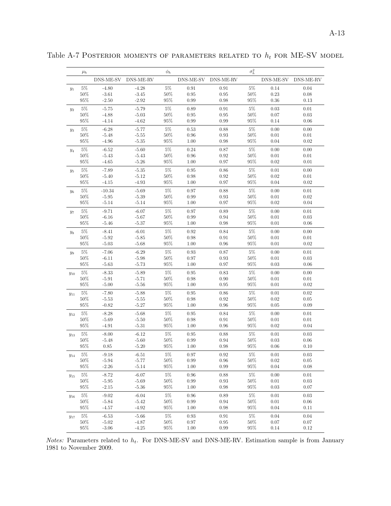|          | $\mu_h$         |                     |                     | $\phi_h$         |                    |                        | $\sigma_h^2$     |              |                  |
|----------|-----------------|---------------------|---------------------|------------------|--------------------|------------------------|------------------|--------------|------------------|
|          |                 |                     | DNS-ME-SV DNS-ME-RV |                  |                    | DNS-ME-SV DNS-ME-RV    |                  | DNS-ME-SV    | DNS-ME-RV        |
| $y_1$    | $5\%$           | $-4.80$             | $-4.28$             | $5\%$            | 0.91               | 0.91                   | $5\%$            | 0.14         | 0.04             |
|          | $50\%$          | $-3.61$             | $-3.45$             | $50\%$           | 0.95               | 0.95                   | $50\%$           | 0.23         | 0.08             |
|          | 95%             | $-2.50$             | $-2.92$             | $95\%$           | 0.99               | 0.98                   | $95\%$           | 0.36         | 0.13             |
| $y_2$    | $5\%$           | $-5.75$             | $-5.79$             | $5\%$            | 0.89               | 0.91                   | $5\%$            | 0.03         | 0.01             |
|          | $50\%$          | $-4.88$             | $-5.03$             | $50\%$           | 0.95               | 0.95                   | $50\%$           | 0.07         | 0.03             |
|          | 95%             | $-4.14$             | $-4.62$             | $95\%$           | 0.99               | 0.99                   | $95\%$           | 0.14         | 0.06             |
| $y_3$    | $5\%$           | $-6.28$             | $-5.77$             | $5\%$            | 0.53               | 0.88                   | $5\%$            | 0.00         | 0.00             |
|          | $50\%$<br>95%   | $-5.48$             | $-5.55$<br>$-5.35$  | $50\%$<br>$95\%$ | 0.96               | 0.93<br>0.98           | $50\%$<br>$95\%$ | 0.01         | 0.01<br>0.02     |
|          |                 | $-4.96$             |                     |                  | 1.00               |                        |                  | 0.04         |                  |
| $y_4$    | $5\%$<br>50%    | $-6.52$<br>$-5.43$  | $-5.60$<br>$-5.43$  | $5\%$<br>$50\%$  | 0.24               | 0.87<br>0.92           | $5\%$<br>$50\%$  | 0.00         | 0.00<br>0.01     |
|          | 95%             | $-4.65$             | $-5.26$             | $95\%$           | 0.96<br>1.00       | 0.97                   | $95\%$           | 0.01<br>0.02 | 0.01             |
|          |                 |                     |                     |                  |                    |                        |                  |              |                  |
| $y_5$    | $5\%$<br>$50\%$ | $-7.89$<br>$-5.40$  | $-5.35$<br>$-5.12$  | $5\%$<br>$50\%$  | 0.95<br>0.98       | 0.86<br>0.92           | $5\%$<br>$50\%$  | 0.01<br>0.02 | 0.00<br>0.01     |
|          | $95\%$          | $-4.15$             | $-4.93$             | $95\%$           | 1.00               | 0.97                   | $95\%$           | 0.04         | 0.02             |
|          | $5\%$           | $-10.34$            | $-5.69$             | $5\%$            | 0.97               | 0.88                   | $5\%$            | 0.00         | 0.01             |
| $y_6$    | $50\%$          | $-5.95$             | $-5.39$             | $50\%$           | 0.99               | 0.93                   | $50\%$           | 0.01         | 0.02             |
|          | $95\%$          | $-5.14$             | $-5.14$             | $95\%$           | 1.00               | 0.97                   | $95\%$           | 0.02         | 0.04             |
|          | $5\%$           | $-9.71$             | $-6.07$             | $5\%$            | 0.97               | 0.89                   | $5\%$            | 0.00         | 0.01             |
| $y_7$    | 50%             | $-6.16$             | $-5.67$             | $50\%$           | 0.99               | 0.94                   | $50\%$           | 0.01         | 0.03             |
|          | $95\%$          | $-5.46$             | $-5.37$             | $95\%$           | 1.00               | 0.98                   | $95\%$           | 0.01         | 0.06             |
| $y_8$    | $5\%$           | $-8.41$             | $-6.01$             | $5\%$            | 0.92               | 0.84                   | $5\%$            | 0.00         | 0.00             |
|          | $50\%$          | $-5.92$             | $-5.85$             | $50\%$           | 0.98               | 0.91                   | $50\%$           | 0.01         | 0.01             |
|          | $95\%$          | $-5.03$             | $-5.68$             | $95\%$           | 1.00               | 0.96                   | $95\%$           | 0.01         | 0.02             |
| $y_9$    | $5\%$           | $-7.06$             | $-6.29$             | $5\%$            | 0.93               | 0.87                   | $5\%$            | 0.00         | 0.01             |
|          | $50\%$          | $-6.11$             | $-5.98$             | $50\%$           | 0.97               | 0.93                   | $50\%$           | 0.01         | 0.03             |
|          | 95%             | $-5.63$             | $-5.73$             | $95\%$           | 1.00               | 0.97                   | $95\%$           | 0.03         | 0.06             |
| $y_{10}$ | $5\%$           | $-8.33$             | $-5.89$             | $5\%$            | 0.95               | 0.83                   | $5\%$            | 0.00         | 0.00             |
|          | 50%             | $-5.91$             | $-5.71$             | $50\%$           | 0.98               | 0.90                   | $50\%$           | 0.01         | 0.01             |
|          | $95\%$          | $-5.00$             | $-5.56$             | $95\%$           | 1.00               | 0.95                   | $95\%$           | 0.01         | 0.02             |
| $y_{11}$ | $5\%$           | $-7.80$             | $-5.88$             | $5\%$            | 0.95               | 0.86                   | $5\%$            | 0.01         | 0.02             |
|          | $50\%$          | $-5.53$             | $-5.55$             | $50\%$           | 0.98               | 0.92                   | $50\%$           | 0.02         | 0.05             |
|          | 95%             | $-0.82$             | $-5.27$             | $95\%$           | 1.00               | 0.96                   | $95\%$           | 0.05         | 0.09             |
| $y_{12}$ | $5\%$           | $-8.28$             | $-5.68$             | $5\%$            | 0.95               | 0.84                   | $5\%$            | 0.00         | 0.01             |
|          | $50\%$          | $-5.69$             | $-5.50$<br>$-5.31$  | $50\%$<br>$95\%$ | 0.98<br>1.00       | 0.91                   | $50\%$<br>$95\%$ | 0.01<br>0.02 | 0.01<br>0.04     |
|          | $95\%$          | $-4.91$             |                     |                  |                    | 0.96                   |                  |              |                  |
| $y_{13}$ | $5\%$<br>50%    | $-8.00$             | $-6.12$             | $5\%$<br>50%     | 0.95               | 0.88                   | $5\%$<br>$50\%$  | 0.01         | 0.03             |
|          | $95\%$          | $-5.48$<br>$0.85\,$ | $-5.60$<br>$-5.20$  | $95\%$           | 0.99<br>1.00       | 0.94<br>0.98           | $95\%$           | 0.03<br>0.06 | 0.06<br>0.10     |
|          |                 |                     |                     |                  |                    |                        |                  |              |                  |
| $y_{14}$ | $5\%$<br>$50\%$ | $-9.18$<br>$-5.94$  | $-6.51$<br>$-5.77$  | $5\%$<br>$50\%$  | 0.97<br>$\rm 0.99$ | $\rm 0.92$<br>$0.96\,$ | $5\%$<br>$50\%$  | 0.01<br>0.02 | 0.03<br>$0.05\,$ |
|          | $95\%$          | $-2.26$             | $-5.14$             | $95\%$           | 1.00               | $0.99\,$               | $95\%$           | $0.04\,$     | 0.08             |
|          | $5\%$           | $-8.72$             | $-6.07$             | $5\%$            | 0.96               | 0.88                   | $5\%$            | 0.00         | 0.01             |
| $y_{15}$ | $50\%$          | $-5.95$             | $-5.69$             | $50\%$           | 0.99               | 0.93                   | $50\%$           | 0.01         | 0.03             |
|          | $95\%$          | $-2.15$             | $-5.36$             | $95\%$           | 1.00               | 0.98                   | $95\%$           | $0.03\,$     | 0.07             |
| $y_{16}$ | $5\%$           | $-9.02$             | $-6.04$             | $5\%$            | 0.96               | 0.89                   | $5\%$            | 0.01         | 0.03             |
|          | 50%             | $-5.84$             | $-5.42$             | $50\%$           | 0.99               | $\rm 0.94$             | $50\%$           | $0.01\,$     | $0.06\,$         |
|          | 95%             | $-4.57$             | $-4.92$             | $95\%$           | 1.00               | 0.98                   | $95\%$           | 0.04         | 0.11             |
| $y_{17}$ | $5\%$           | $-6.53$             | $\mbox{-}5.66$      | $5\%$            | $\rm 0.93$         | $\rm 0.91$             | $5\%$            | $0.04\,$     | 0.04             |
|          | $50\%$          | $-5.02$             | $-4.87$             | $50\%$           | 0.97               | $\rm 0.95$             | $50\%$           | $0.07\,$     | 0.07             |
|          | $95\%$          | $-3.06$             | $-4.25$             | $95\%$           | 1.00               | 0.99                   | $95\%$           | 0.14         | 0.12             |

Table A-7 POSTERIOR MOMENTS OF PARAMETERS RELATED TO  $h_t$  for ME-SV model

Notes: Parameters related to  $h_t$ . For DNS-ME-SV and DNS-ME-RV. Estimation sample is from January 1981 to November 2009.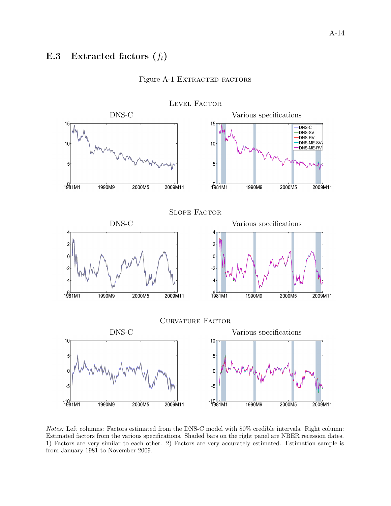### <span id="page-51-0"></span>E.3 Extracted factors  $(f_t)$



### Figure A-1 EXTRACTED FACTORS

Notes: Left columns: Factors estimated from the DNS-C model with 80% credible intervals. Right column: Estimated factors from the various specifications. Shaded bars on the right panel are NBER recession dates. 1) Factors are very similar to each other. 2) Factors are very accurately estimated. Estimation sample is from January 1981 to November 2009.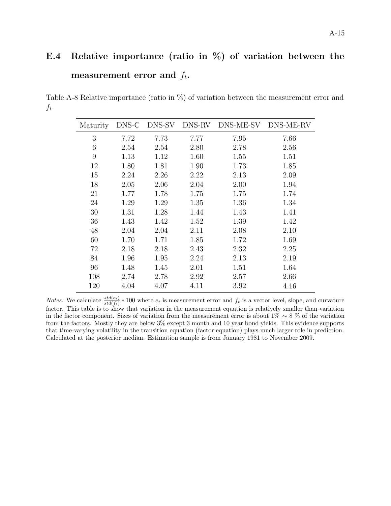# <span id="page-52-0"></span>E.4 Relative importance (ratio in %) of variation between the measurement error and  $f_t$ .

Table A-8 Relative importance (ratio in %) of variation between the measurement error and  $f_t$ .

L

| Maturity | DNS-C | DNS-SV | DNS-RV | DNS-ME-SV | DNS-ME-RV |
|----------|-------|--------|--------|-----------|-----------|
| 3        | 7.72  | 7.73   | 7.77   | 7.95      | 7.66      |
| 6        | 2.54  | 2.54   | 2.80   | 2.78      | 2.56      |
| 9        | 1.13  | 1.12   | 1.60   | 1.55      | 1.51      |
| 12       | 1.80  | 1.81   | 1.90   | 1.73      | 1.85      |
| 15       | 2.24  | 2.26   | 2.22   | 2.13      | 2.09      |
| 18       | 2.05  | 2.06   | 2.04   | 2.00      | 1.94      |
| 21       | 1.77  | 1.78   | 1.75   | 1.75      | 1.74      |
| 24       | 1.29  | 1.29   | 1.35   | 1.36      | 1.34      |
| 30       | 1.31  | 1.28   | 1.44   | 1.43      | 1.41      |
| 36       | 1.43  | 1.42   | 1.52   | 1.39      | 1.42      |
| 48       | 2.04  | 2.04   | 2.11   | 2.08      | 2.10      |
| 60       | 1.70  | 1.71   | 1.85   | 1.72      | 1.69      |
| 72       | 2.18  | 2.18   | 2.43   | 2.32      | 2.25      |
| 84       | 1.96  | 1.95   | 2.24   | 2.13      | 2.19      |
| 96       | 1.48  | 1.45   | 2.01   | 1.51      | 1.64      |
| 108      | 2.74  | 2.78   | 2.92   | 2.57      | 2.66      |
| 120      | 4.04  | 4.07   | 4.11   | 3.92      | 4.16      |

*Notes:* We calculate  $\frac{std(e_t)}{std(f_t)} * 100$  where  $e_t$  is measurement error and  $f_t$  is a vector level, slope, and curvature factor. This table is to show that variation in the measurement equation is relatively smaller than variation in the factor component. Sizes of variation from the measurement error is about 1% ∼ 8 % of the variation from the factors. Mostly they are below 3% except 3 month and 10 year bond yields. This evidence supports that time-varying volatility in the transition equation (factor equation) plays much larger role in prediction. Calculated at the posterior median. Estimation sample is from January 1981 to November 2009.